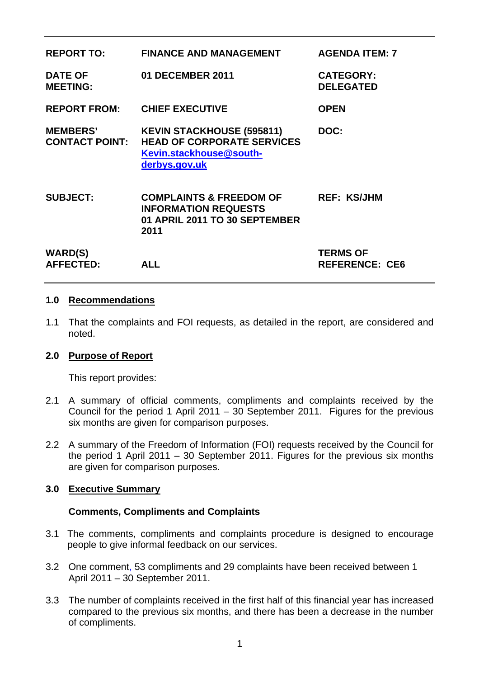| <b>REPORT TO:</b>                        | <b>FINANCE AND MANAGEMENT</b>                                                                                     | <b>AGENDA ITEM: 7</b>                    |
|------------------------------------------|-------------------------------------------------------------------------------------------------------------------|------------------------------------------|
| <b>DATE OF</b><br><b>MEETING:</b>        | <b>01 DECEMBER 2011</b>                                                                                           | <b>CATEGORY:</b><br><b>DELEGATED</b>     |
| <b>REPORT FROM:</b>                      | <b>CHIEF EXECUTIVE</b>                                                                                            | <b>OPEN</b>                              |
| <b>MEMBERS'</b><br><b>CONTACT POINT:</b> | <b>KEVIN STACKHOUSE (595811)</b><br><b>HEAD OF CORPORATE SERVICES</b><br>Kevin.stackhouse@south-<br>derbys.gov.uk | DOC:                                     |
| <b>SUBJECT:</b>                          | <b>COMPLAINTS &amp; FREEDOM OF</b><br><b>INFORMATION REQUESTS</b><br>01 APRIL 2011 TO 30 SEPTEMBER<br>2011        | <b>REF: KS/JHM</b>                       |
| <b>WARD(S)</b><br><b>AFFECTED:</b>       | <b>ALL</b>                                                                                                        | <b>TERMS OF</b><br><b>REFERENCE: CE6</b> |

#### **1.0 Recommendations**

1.1 That the complaints and FOI requests, as detailed in the report, are considered and noted.

#### **2.0 Purpose of Report**

This report provides:

- 2.1 A summary of official comments, compliments and complaints received by the Council for the period 1 April 2011 – 30 September 2011. Figures for the previous six months are given for comparison purposes.
- 2.2 A summary of the Freedom of Information (FOI) requests received by the Council for the period 1 April 2011 – 30 September 2011. Figures for the previous six months are given for comparison purposes.

#### **3.0 Executive Summary**

#### **Comments, Compliments and Complaints**

- 3.1 The comments, compliments and complaints procedure is designed to encourage people to give informal feedback on our services.
- 3.2 One comment, 53 compliments and 29 complaints have been received between 1 April 2011 – 30 September 2011.
- 3.3 The number of complaints received in the first half of this financial year has increased compared to the previous six months, and there has been a decrease in the number of compliments.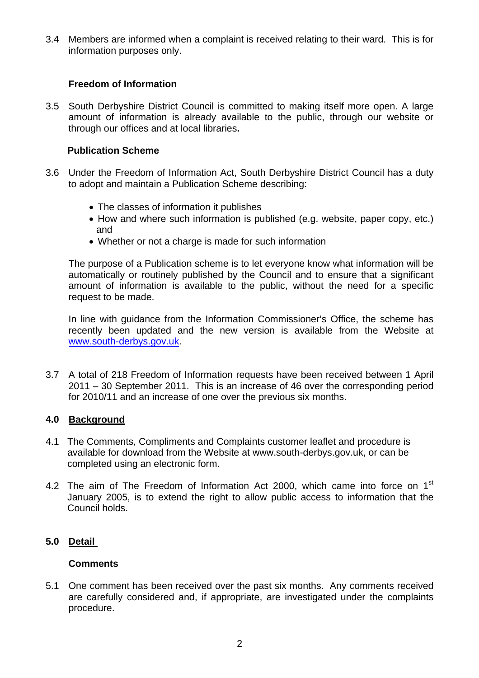3.4 Members are informed when a complaint is received relating to their ward. This is for information purposes only.

#### **Freedom of Information**

3.5 South Derbyshire District Council is committed to making itself more open. A large amount of information is already available to the public, through our website or through our offices and at local libraries**.** 

#### **Publication Scheme**

- 3.6 Under the Freedom of Information Act, South Derbyshire District Council has a duty to adopt and maintain a Publication Scheme describing:
	- The classes of information it publishes
	- How and where such information is published (e.g. website, paper copy, etc.) and
	- Whether or not a charge is made for such information

The purpose of a Publication scheme is to let everyone know what information will be automatically or routinely published by the Council and to ensure that a significant amount of information is available to the public, without the need for a specific request to be made.

In line with guidance from the Information Commissioner's Office, the scheme has recently been updated and the new version is available from the Website at [www.south-derbys.gov.uk](http://www.south-derbys.gov.uk/).

3.7 A total of 218 Freedom of Information requests have been received between 1 April 2011 – 30 September 2011. This is an increase of 46 over the corresponding period for 2010/11 and an increase of one over the previous six months.

#### **4.0 Background**

- 4.1 The Comments, Compliments and Complaints customer leaflet and procedure is available for download from the Website at www.south-derbys.gov.uk, or can be completed using an electronic form.
- 4.2 The aim of The Freedom of Information Act 2000, which came into force on 1<sup>st</sup> January 2005, is to extend the right to allow public access to information that the Council holds.

### **5.0 Detail**

#### **Comments**

5.1 One comment has been received over the past six months. Any comments received are carefully considered and, if appropriate, are investigated under the complaints procedure.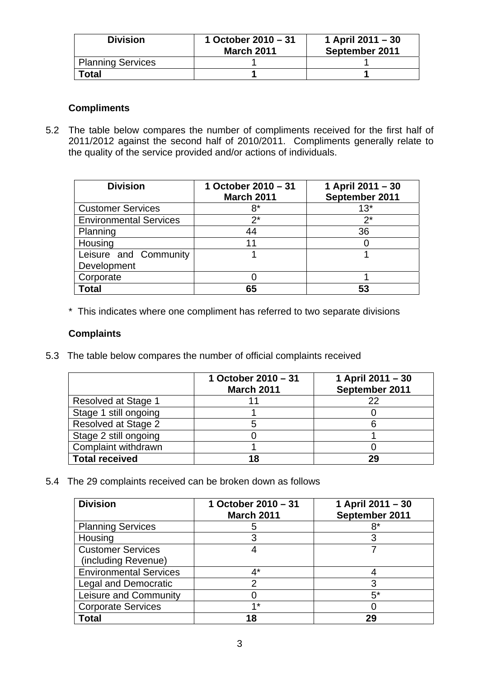| <b>Division</b>          | 1 October $2010 - 31$<br><b>March 2011</b> | 1 April 2011 – 30<br>September 2011 |
|--------------------------|--------------------------------------------|-------------------------------------|
| <b>Planning Services</b> |                                            |                                     |
| 'otal                    |                                            |                                     |

### **Compliments**

5.2 The table below compares the number of compliments received for the first half of 2011/2012 against the second half of 2010/2011. Compliments generally relate to the quality of the service provided and/or actions of individuals.

| <b>Division</b>                      | 1 October 2010 - 31<br><b>March 2011</b> | 1 April 2011 - 30<br>September 2011 |
|--------------------------------------|------------------------------------------|-------------------------------------|
| <b>Customer Services</b>             | 8*                                       | $13*$                               |
| <b>Environmental Services</b>        | $2^*$                                    | $2^*$                               |
| Planning                             | 44                                       | 36                                  |
| Housing                              | 11                                       |                                     |
| Leisure and Community<br>Development |                                          |                                     |
| Corporate                            |                                          |                                     |
| Total                                | 65                                       | 53                                  |

\* This indicates where one compliment has referred to two separate divisions

#### **Complaints**

5.3 The table below compares the number of official complaints received

|                            | 1 October 2010 - 31<br><b>March 2011</b> | 1 April 2011 - 30<br>September 2011 |
|----------------------------|------------------------------------------|-------------------------------------|
| <b>Resolved at Stage 1</b> |                                          | 22                                  |
| Stage 1 still ongoing      |                                          |                                     |
| Resolved at Stage 2        |                                          |                                     |
| Stage 2 still ongoing      |                                          |                                     |
| Complaint withdrawn        |                                          |                                     |
| <b>Total received</b>      | 18                                       | 29                                  |

5.4 The 29 complaints received can be broken down as follows

| <b>Division</b>               | 1 October 2010 - 31<br><b>March 2011</b> | 1 April 2011 - 30<br>September 2011 |
|-------------------------------|------------------------------------------|-------------------------------------|
| <b>Planning Services</b>      | b                                        | 8*                                  |
| Housing                       |                                          |                                     |
| <b>Customer Services</b>      |                                          |                                     |
| (including Revenue)           |                                          |                                     |
| <b>Environmental Services</b> | ⁄1*                                      |                                     |
| Legal and Democratic          |                                          |                                     |
| Leisure and Community         |                                          | 5*                                  |
| <b>Corporate Services</b>     | $4*$                                     |                                     |
| Total                         | 18                                       | 29                                  |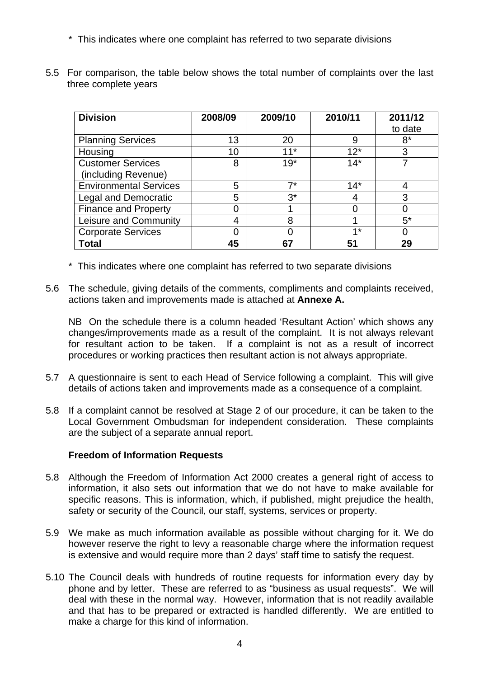- \* This indicates where one complaint has referred to two separate divisions
- 5.5 For comparison, the table below shows the total number of complaints over the last three complete years

| <b>Division</b>               | 2008/09 | 2009/10 | 2010/11 | 2011/12 |
|-------------------------------|---------|---------|---------|---------|
|                               |         |         |         | to date |
| <b>Planning Services</b>      | 13      | 20      | 9       | $8*$    |
| Housing                       | 10      | $11*$   | $12*$   | 3       |
| <b>Customer Services</b>      | 8       | $19*$   | $14*$   |         |
| (including Revenue)           |         |         |         |         |
| <b>Environmental Services</b> | 5       | 7*      | $14*$   |         |
| <b>Legal and Democratic</b>   | 5       | $3^*$   |         | 3       |
| <b>Finance and Property</b>   |         |         |         |         |
| Leisure and Community         | 4       | 8       |         | $5^*$   |
| <b>Corporate Services</b>     |         |         | $4*$    |         |
| <b>Total</b>                  | 45      | 67      | 51      | 29      |

- \* This indicates where one complaint has referred to two separate divisions
- 5.6 The schedule, giving details of the comments, compliments and complaints received, actions taken and improvements made is attached at **Annexe A.**

NB On the schedule there is a column headed 'Resultant Action' which shows any changes/improvements made as a result of the complaint. It is not always relevant for resultant action to be taken. If a complaint is not as a result of incorrect procedures or working practices then resultant action is not always appropriate.

- 5.7 A questionnaire is sent to each Head of Service following a complaint. This will give details of actions taken and improvements made as a consequence of a complaint.
- 5.8 If a complaint cannot be resolved at Stage 2 of our procedure, it can be taken to the Local Government Ombudsman for independent consideration. These complaints are the subject of a separate annual report.

#### **Freedom of Information Requests**

- 5.8 Although the Freedom of Information Act 2000 creates a general right of access to information, it also sets out information that we do not have to make available for specific reasons. This is information, which, if published, might prejudice the health, safety or security of the Council, our staff, systems, services or property.
- 5.9 We make as much information available as possible without charging for it. We do however reserve the right to levy a reasonable charge where the information request is extensive and would require more than 2 days' staff time to satisfy the request.
- 5.10 The Council deals with hundreds of routine requests for information every day by phone and by letter. These are referred to as "business as usual requests". We will deal with these in the normal way. However, information that is not readily available and that has to be prepared or extracted is handled differently. We are entitled to make a charge for this kind of information.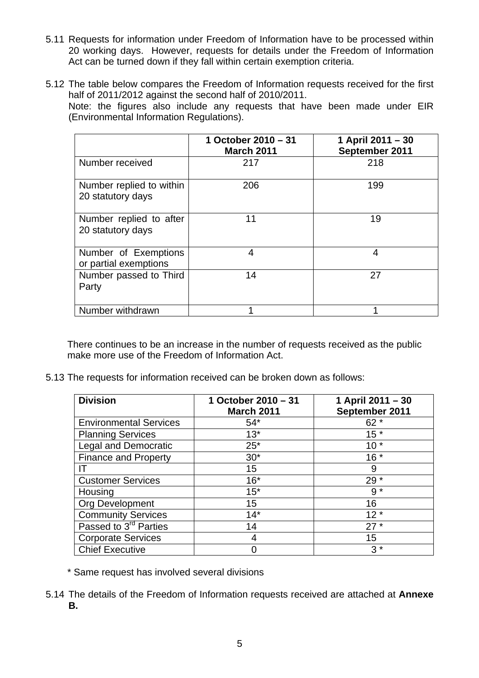- 5.11 Requests for information under Freedom of Information have to be processed within 20 working days. However, requests for details under the Freedom of Information Act can be turned down if they fall within certain exemption criteria.
- 5.12 The table below compares the Freedom of Information requests received for the first half of 2011/2012 against the second half of 2010/2011. Note: the figures also include any requests that have been made under EIR (Environmental Information Regulations).

|                                               | 1 October 2010 - 31<br><b>March 2011</b> | 1 April 2011 - 30<br>September 2011 |
|-----------------------------------------------|------------------------------------------|-------------------------------------|
| Number received                               | 217                                      | 218                                 |
| Number replied to within<br>20 statutory days | 206                                      | 199                                 |
| Number replied to after<br>20 statutory days  | 11                                       | 19                                  |
| Number of Exemptions<br>or partial exemptions | 4                                        | 4                                   |
| Number passed to Third<br>Party               | 14                                       | 27                                  |
| Number withdrawn                              | 1                                        | 1                                   |

There continues to be an increase in the number of requests received as the public make more use of the Freedom of Information Act.

5.13 The requests for information received can be broken down as follows:

| <b>Division</b>                   | 1 October 2010 - 31<br><b>March 2011</b> | 1 April 2011 - 30<br>September 2011 |
|-----------------------------------|------------------------------------------|-------------------------------------|
| <b>Environmental Services</b>     | $54*$                                    | $62*$                               |
| <b>Planning Services</b>          | $13*$                                    | $15*$                               |
| <b>Legal and Democratic</b>       | $25^*$                                   | $10*$                               |
| <b>Finance and Property</b>       | $30*$                                    | $16*$                               |
|                                   | 15                                       | 9                                   |
| <b>Customer Services</b>          | $16*$                                    | $29*$                               |
| Housing                           | $15*$                                    | $9 *$                               |
| <b>Org Development</b>            | 15                                       | 16                                  |
| <b>Community Services</b>         | $14*$                                    | $12*$                               |
| Passed to 3 <sup>rd</sup> Parties | 14                                       | $27*$                               |
| <b>Corporate Services</b>         |                                          | 15                                  |
| <b>Chief Executive</b>            |                                          | $3*$                                |

- \* Same request has involved several divisions
- 5.14 The details of the Freedom of Information requests received are attached at **Annexe B.**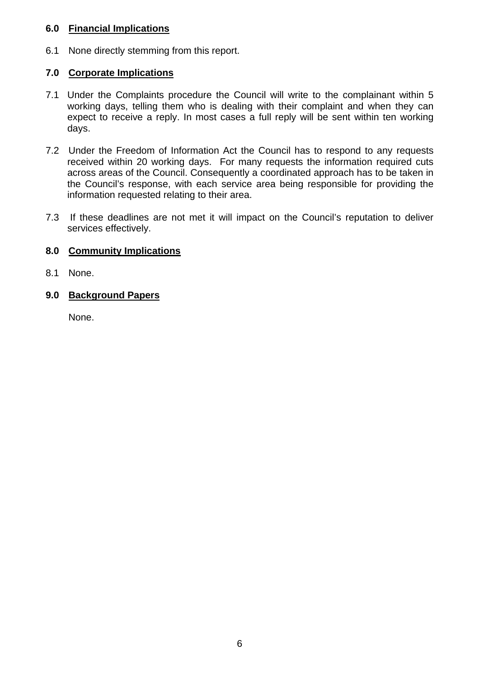#### **6.0 Financial Implications**

6.1 None directly stemming from this report.

### **7.0 Corporate Implications**

- 7.1 Under the Complaints procedure the Council will write to the complainant within 5 working days, telling them who is dealing with their complaint and when they can expect to receive a reply. In most cases a full reply will be sent within ten working days.
- 7.2 Under the Freedom of Information Act the Council has to respond to any requests received within 20 working days. For many requests the information required cuts across areas of the Council. Consequently a coordinated approach has to be taken in the Council's response, with each service area being responsible for providing the information requested relating to their area.
- 7.3 If these deadlines are not met it will impact on the Council's reputation to deliver services effectively.

### **8.0 Community Implications**

8.1 None.

### **9.0 Background Papers**

None.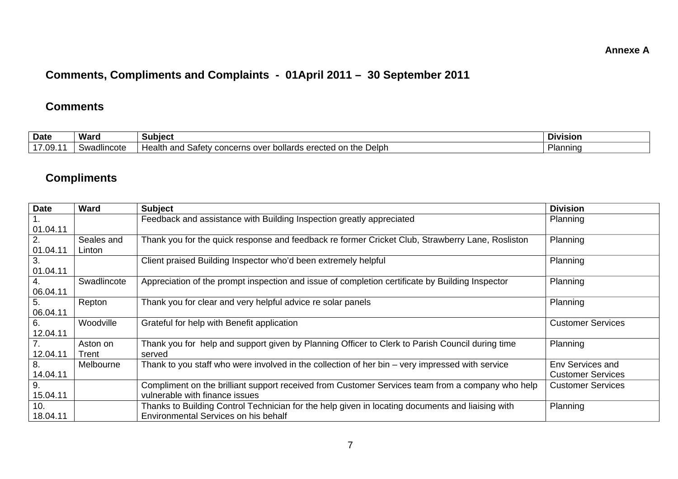#### **Annexe A**

# **Comments, Compliments and Complaints - 01April 2011 – 30 September 2011**

#### **Comments**

| <b>Date</b>       | Waro                          | Subiect                                                                                  | <b>DIVISION</b>      |
|-------------------|-------------------------------|------------------------------------------------------------------------------------------|----------------------|
| 47.00<br>၊ ખ<br>. | adlincote <sup>,</sup><br>5W۶ | Health<br>: Delph<br>the<br>and<br>bollards erected on<br>ns over<br>satety.<br>concerns | <sup>∪</sup> lannınq |

## **Compliments**

| <b>Date</b> | <b>Ward</b> | <b>Subject</b>                                                                                   | <b>Division</b>          |
|-------------|-------------|--------------------------------------------------------------------------------------------------|--------------------------|
|             |             | Feedback and assistance with Building Inspection greatly appreciated                             | Planning                 |
| 01.04.11    |             |                                                                                                  |                          |
| 2.          | Seales and  | Thank you for the quick response and feedback re former Cricket Club, Strawberry Lane, Rosliston | Planning                 |
| 01.04.11    | Linton      |                                                                                                  |                          |
| 3.          |             | Client praised Building Inspector who'd been extremely helpful                                   | Planning                 |
| 01.04.11    |             |                                                                                                  |                          |
|             | Swadlincote | Appreciation of the prompt inspection and issue of completion certificate by Building Inspector  | Planning                 |
| 06.04.11    |             |                                                                                                  |                          |
| 5.          | Repton      | Thank you for clear and very helpful advice re solar panels                                      | Planning                 |
| 06.04.11    |             |                                                                                                  |                          |
| 6.          | Woodville   | Grateful for help with Benefit application                                                       | <b>Customer Services</b> |
| 12.04.11    |             |                                                                                                  |                          |
|             | Aston on    | Thank you for help and support given by Planning Officer to Clerk to Parish Council during time  | Planning                 |
| 12.04.11    | Trent       | served                                                                                           |                          |
| 8.          | Melbourne   | Thank to you staff who were involved in the collection of her bin – very impressed with service  | Env Services and         |
| 14.04.11    |             |                                                                                                  | <b>Customer Services</b> |
| 9.          |             | Compliment on the brilliant support received from Customer Services team from a company who help | <b>Customer Services</b> |
| 15.04.11    |             | vulnerable with finance issues                                                                   |                          |
| 10.         |             | Thanks to Building Control Technician for the help given in locating documents and liaising with | Planning                 |
| 18.04.11    |             | Environmental Services on his behalf                                                             |                          |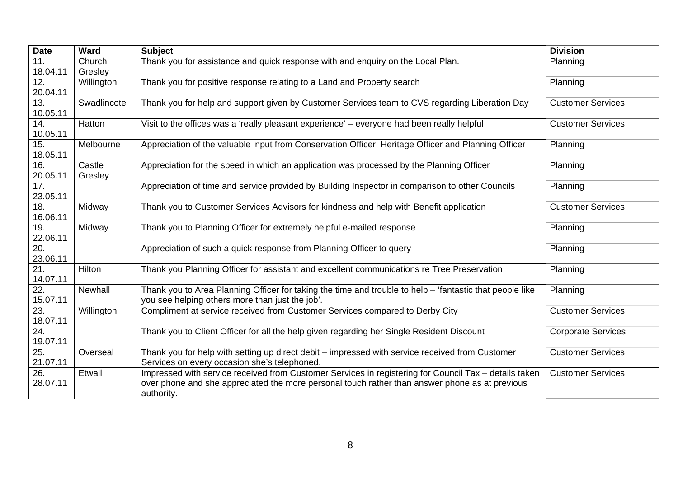| <b>Date</b> | Ward        | <b>Subject</b>                                                                                           | <b>Division</b>           |
|-------------|-------------|----------------------------------------------------------------------------------------------------------|---------------------------|
| 11.         | Church      | Thank you for assistance and quick response with and enquiry on the Local Plan.                          | Planning                  |
| 18.04.11    | Gresley     |                                                                                                          |                           |
| 12.         | Willington  | Thank you for positive response relating to a Land and Property search                                   | Planning                  |
| 20.04.11    |             |                                                                                                          |                           |
| 13.         | Swadlincote | Thank you for help and support given by Customer Services team to CVS regarding Liberation Day           | <b>Customer Services</b>  |
| 10.05.11    |             |                                                                                                          |                           |
| 14.         | Hatton      | Visit to the offices was a 'really pleasant experience' - everyone had been really helpful               | <b>Customer Services</b>  |
| 10.05.11    |             |                                                                                                          |                           |
| 15.         | Melbourne   | Appreciation of the valuable input from Conservation Officer, Heritage Officer and Planning Officer      | Planning                  |
| 18.05.11    |             |                                                                                                          |                           |
| 16.         | Castle      | Appreciation for the speed in which an application was processed by the Planning Officer                 | Planning                  |
| 20.05.11    | Gresley     |                                                                                                          |                           |
| 17.         |             | Appreciation of time and service provided by Building Inspector in comparison to other Councils          | Planning                  |
| 23.05.11    |             |                                                                                                          |                           |
| 18.         | Midway      | Thank you to Customer Services Advisors for kindness and help with Benefit application                   | <b>Customer Services</b>  |
| 16.06.11    |             |                                                                                                          |                           |
| 19.         | Midway      | Thank you to Planning Officer for extremely helpful e-mailed response                                    | Planning                  |
| 22.06.11    |             |                                                                                                          |                           |
| 20.         |             | Appreciation of such a quick response from Planning Officer to query                                     | Planning                  |
| 23.06.11    |             |                                                                                                          |                           |
| 21.         | Hilton      | Thank you Planning Officer for assistant and excellent communications re Tree Preservation               | Planning                  |
| 14.07.11    |             |                                                                                                          |                           |
| 22.         | Newhall     | Thank you to Area Planning Officer for taking the time and trouble to help - 'fantastic that people like | Planning                  |
| 15.07.11    |             | you see helping others more than just the job'.                                                          |                           |
| 23.         | Willington  | Compliment at service received from Customer Services compared to Derby City                             | <b>Customer Services</b>  |
| 18.07.11    |             |                                                                                                          |                           |
| 24.         |             | Thank you to Client Officer for all the help given regarding her Single Resident Discount                | <b>Corporate Services</b> |
| 19.07.11    |             |                                                                                                          |                           |
| 25.         | Overseal    | Thank you for help with setting up direct debit - impressed with service received from Customer          | <b>Customer Services</b>  |
| 21.07.11    |             | Services on every occasion she's telephoned.                                                             |                           |
| 26.         | Etwall      | Impressed with service received from Customer Services in registering for Council Tax - details taken    | <b>Customer Services</b>  |
| 28.07.11    |             | over phone and she appreciated the more personal touch rather than answer phone as at previous           |                           |
|             |             | authority.                                                                                               |                           |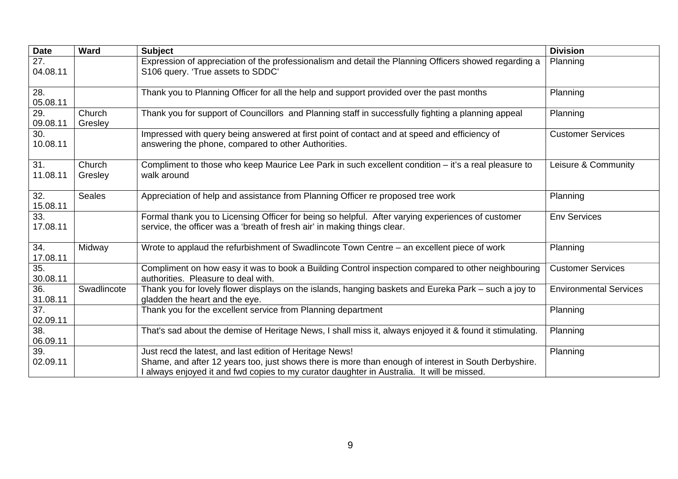| <b>Date</b>                   | Ward              | <b>Subject</b>                                                                                                                                                                                                                                                 | <b>Division</b>               |
|-------------------------------|-------------------|----------------------------------------------------------------------------------------------------------------------------------------------------------------------------------------------------------------------------------------------------------------|-------------------------------|
| 27.<br>04.08.11               |                   | Expression of appreciation of the professionalism and detail the Planning Officers showed regarding a<br>S106 query. 'True assets to SDDC'                                                                                                                     | Planning                      |
| $\overline{28}$ .<br>05.08.11 |                   | Thank you to Planning Officer for all the help and support provided over the past months                                                                                                                                                                       | Planning                      |
| 29.<br>09.08.11               | Church<br>Gresley | Thank you for support of Councillors and Planning staff in successfully fighting a planning appeal                                                                                                                                                             | Planning                      |
| 30.<br>10.08.11               |                   | Impressed with query being answered at first point of contact and at speed and efficiency of<br>answering the phone, compared to other Authorities.                                                                                                            | <b>Customer Services</b>      |
| 31.<br>11.08.11               | Church<br>Gresley | Compliment to those who keep Maurice Lee Park in such excellent condition – it's a real pleasure to<br>walk around                                                                                                                                             | Leisure & Community           |
| 32.<br>15.08.11               | <b>Seales</b>     | Appreciation of help and assistance from Planning Officer re proposed tree work                                                                                                                                                                                | Planning                      |
| 33.<br>17.08.11               |                   | Formal thank you to Licensing Officer for being so helpful. After varying experiences of customer<br>service, the officer was a 'breath of fresh air' in making things clear.                                                                                  | <b>Env Services</b>           |
| 34.<br>17.08.11               | Midway            | Wrote to applaud the refurbishment of Swadlincote Town Centre - an excellent piece of work                                                                                                                                                                     | Planning                      |
| 35.<br>30.08.11               |                   | Compliment on how easy it was to book a Building Control inspection compared to other neighbouring<br>authorities. Pleasure to deal with.                                                                                                                      | <b>Customer Services</b>      |
| 36.<br>31.08.11               | Swadlincote       | Thank you for lovely flower displays on the islands, hanging baskets and Eureka Park – such a joy to<br>gladden the heart and the eye.                                                                                                                         | <b>Environmental Services</b> |
| $\overline{37}$ .<br>02.09.11 |                   | Thank you for the excellent service from Planning department                                                                                                                                                                                                   | Planning                      |
| 38.<br>06.09.11               |                   | That's sad about the demise of Heritage News, I shall miss it, always enjoyed it & found it stimulating.                                                                                                                                                       | Planning                      |
| 39.<br>02.09.11               |                   | Just recd the latest, and last edition of Heritage News!<br>Shame, and after 12 years too, just shows there is more than enough of interest in South Derbyshire.<br>I always enjoyed it and fwd copies to my curator daughter in Australia. It will be missed. | Planning                      |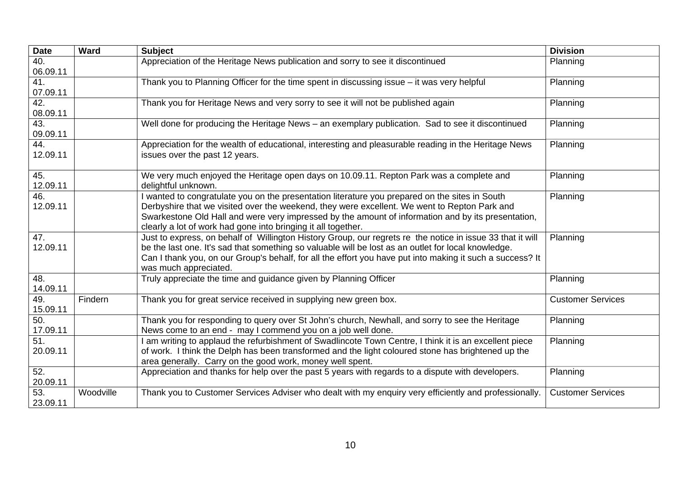| <b>Date</b>       | <b>Ward</b> | <b>Subject</b>                                                                                                                                                  | <b>Division</b>          |
|-------------------|-------------|-----------------------------------------------------------------------------------------------------------------------------------------------------------------|--------------------------|
| 40.<br>06.09.11   |             | Appreciation of the Heritage News publication and sorry to see it discontinued                                                                                  | Planning                 |
| 41.               |             | Thank you to Planning Officer for the time spent in discussing issue - it was very helpful                                                                      | Planning                 |
| 07.09.11          |             |                                                                                                                                                                 |                          |
| 42.               |             | Thank you for Heritage News and very sorry to see it will not be published again                                                                                | Planning                 |
| 08.09.11          |             |                                                                                                                                                                 |                          |
| 43.               |             | Well done for producing the Heritage News – an exemplary publication. Sad to see it discontinued                                                                | Planning                 |
| 09.09.11          |             |                                                                                                                                                                 |                          |
| 44.<br>12.09.11   |             | Appreciation for the wealth of educational, interesting and pleasurable reading in the Heritage News<br>issues over the past 12 years.                          | Planning                 |
| 45.<br>12.09.11   |             | We very much enjoyed the Heritage open days on 10.09.11. Repton Park was a complete and<br>delightful unknown.                                                  | Planning                 |
| 46.               |             | I wanted to congratulate you on the presentation literature you prepared on the sites in South                                                                  | Planning                 |
| 12.09.11          |             | Derbyshire that we visited over the weekend, they were excellent. We went to Repton Park and                                                                    |                          |
|                   |             | Swarkestone Old Hall and were very impressed by the amount of information and by its presentation,                                                              |                          |
|                   |             | clearly a lot of work had gone into bringing it all together.                                                                                                   |                          |
| 47.               |             | Just to express, on behalf of Willington History Group, our regrets re the notice in issue 33 that it will                                                      | Planning                 |
| 12.09.11          |             | be the last one. It's sad that something so valuable will be lost as an outlet for local knowledge.                                                             |                          |
|                   |             | Can I thank you, on our Group's behalf, for all the effort you have put into making it such a success? It<br>was much appreciated.                              |                          |
| 48.               |             | Truly appreciate the time and guidance given by Planning Officer                                                                                                | Planning                 |
| 14.09.11          |             |                                                                                                                                                                 |                          |
| 49.               | Findern     | Thank you for great service received in supplying new green box.                                                                                                | <b>Customer Services</b> |
| 15.09.11          |             |                                                                                                                                                                 |                          |
| 50.               |             | Thank you for responding to query over St John's church, Newhall, and sorry to see the Heritage                                                                 | Planning                 |
| 17.09.11          |             | News come to an end - may I commend you on a job well done.                                                                                                     |                          |
| 51.               |             | I am writing to applaud the refurbishment of Swadlincote Town Centre, I think it is an excellent piece                                                          | Planning                 |
| 20.09.11          |             | of work. I think the Delph has been transformed and the light coloured stone has brightened up the<br>area generally. Carry on the good work, money well spent. |                          |
| 52.               |             | Appreciation and thanks for help over the past 5 years with regards to a dispute with developers.                                                               | Planning                 |
| 20.09.11          |             |                                                                                                                                                                 |                          |
| $\overline{53}$ . | Woodville   | Thank you to Customer Services Adviser who dealt with my enquiry very efficiently and professionally.                                                           | <b>Customer Services</b> |
| 23.09.11          |             |                                                                                                                                                                 |                          |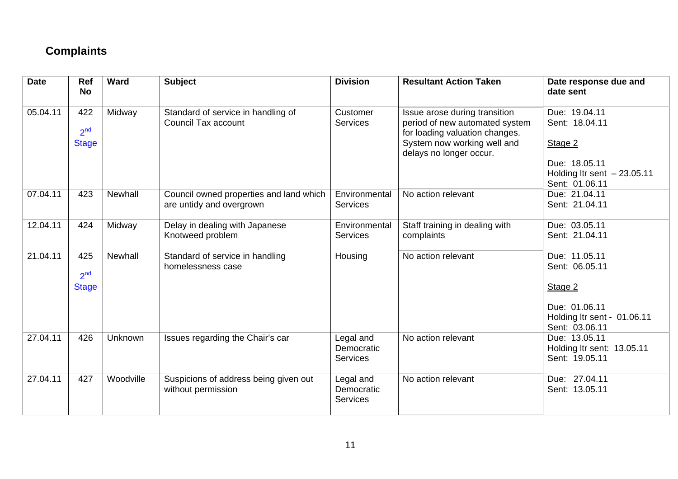# **Complaints**

| <b>Date</b> | Ref<br><b>No</b>                       | <b>Ward</b> | <b>Subject</b>                                                      | <b>Division</b>                            | <b>Resultant Action Taken</b>                                                                                                    | Date response due and<br>date sent                                                                           |
|-------------|----------------------------------------|-------------|---------------------------------------------------------------------|--------------------------------------------|----------------------------------------------------------------------------------------------------------------------------------|--------------------------------------------------------------------------------------------------------------|
| 05.04.11    | 422<br>2 <sup>nd</sup><br><b>Stage</b> | Midway      | Standard of service in handling of<br><b>Council Tax account</b>    | Customer<br><b>Services</b>                | Issue arose during transition<br>period of new automated system<br>for loading valuation changes.<br>System now working well and | Due: 19.04.11<br>Sent: 18.04.11<br>Stage 2                                                                   |
|             |                                        |             |                                                                     |                                            | delays no longer occur.                                                                                                          | Due: 18.05.11<br>Holding Itr sent $-23.05.11$<br>Sent: 01.06.11                                              |
| 07.04.11    | 423                                    | Newhall     | Council owned properties and land which<br>are untidy and overgrown | Environmental<br><b>Services</b>           | No action relevant                                                                                                               | Due: 21.04.11<br>Sent: 21.04.11                                                                              |
| 12.04.11    | 424                                    | Midway      | Delay in dealing with Japanese<br>Knotweed problem                  | Environmental<br><b>Services</b>           | Staff training in dealing with<br>complaints                                                                                     | Due: 03.05.11<br>Sent: 21.04.11                                                                              |
| 21.04.11    | 425<br>2 <sup>nd</sup><br><b>Stage</b> | Newhall     | Standard of service in handling<br>homelessness case                | Housing                                    | No action relevant                                                                                                               | Due: 11.05.11<br>Sent: 06.05.11<br>Stage 2<br>Due: 01.06.11<br>Holding Itr sent - 01.06.11<br>Sent: 03.06.11 |
| 27.04.11    | 426                                    | Unknown     | Issues regarding the Chair's car                                    | Legal and<br>Democratic<br><b>Services</b> | No action relevant                                                                                                               | Due: 13.05.11<br>Holding Itr sent: 13.05.11<br>Sent: 19.05.11                                                |
| 27.04.11    | 427                                    | Woodville   | Suspicions of address being given out<br>without permission         | Legal and<br>Democratic<br><b>Services</b> | No action relevant                                                                                                               | Due: 27.04.11<br>Sent: 13.05.11                                                                              |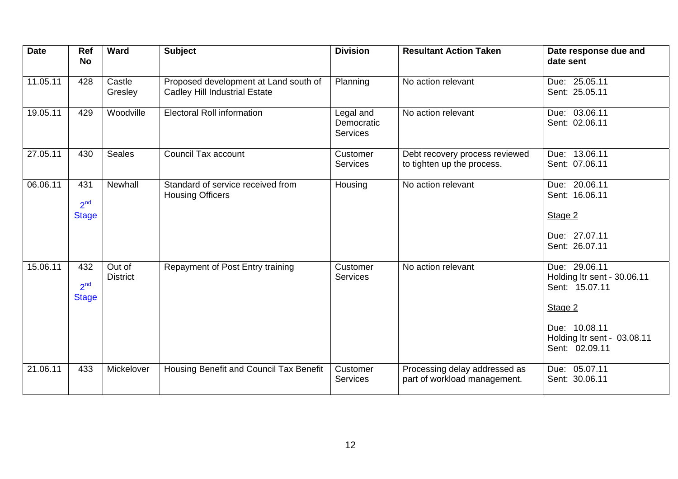| <b>Date</b> | <b>Ref</b><br><b>No</b>                | <b>Ward</b>               | <b>Subject</b>                                                                | <b>Division</b>                            | <b>Resultant Action Taken</b>                                 | Date response due and<br>date sent                                                                                                          |
|-------------|----------------------------------------|---------------------------|-------------------------------------------------------------------------------|--------------------------------------------|---------------------------------------------------------------|---------------------------------------------------------------------------------------------------------------------------------------------|
| 11.05.11    | 428                                    | Castle<br>Gresley         | Proposed development at Land south of<br><b>Cadley Hill Industrial Estate</b> | Planning                                   | No action relevant                                            | Due: 25.05.11<br>Sent: 25.05.11                                                                                                             |
| 19.05.11    | 429                                    | Woodville                 | <b>Electoral Roll information</b>                                             | Legal and<br>Democratic<br><b>Services</b> | No action relevant                                            | Due: 03.06.11<br>Sent: 02.06.11                                                                                                             |
| 27.05.11    | 430                                    | <b>Seales</b>             | Council Tax account                                                           | Customer<br><b>Services</b>                | Debt recovery process reviewed<br>to tighten up the process.  | Due: 13.06.11<br>Sent: 07.06.11                                                                                                             |
| 06.06.11    | 431<br>2 <sup>nd</sup><br><b>Stage</b> | <b>Newhall</b>            | Standard of service received from<br><b>Housing Officers</b>                  | Housing                                    | No action relevant                                            | Due: 20.06.11<br>Sent: 16.06.11<br>Stage 2<br>Due: 27.07.11<br>Sent: 26.07.11                                                               |
| 15.06.11    | 432<br>2 <sup>nd</sup><br><b>Stage</b> | Out of<br><b>District</b> | Repayment of Post Entry training                                              | Customer<br><b>Services</b>                | No action relevant                                            | Due: 29.06.11<br>Holding Itr sent - 30.06.11<br>Sent: 15.07.11<br>Stage 2<br>Due: 10.08.11<br>Holding Itr sent - 03.08.11<br>Sent: 02.09.11 |
| 21.06.11    | 433                                    | Mickelover                | Housing Benefit and Council Tax Benefit                                       | Customer<br><b>Services</b>                | Processing delay addressed as<br>part of workload management. | Due: 05.07.11<br>Sent: 30.06.11                                                                                                             |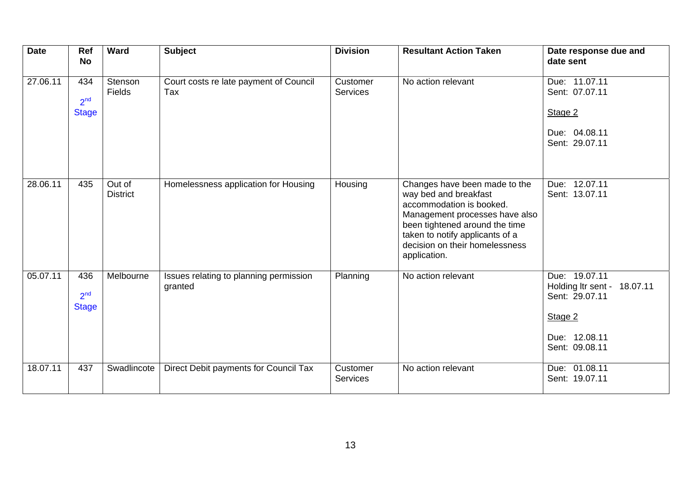| <b>Date</b> | <b>Ref</b><br><b>No</b>                | Ward                      | <b>Subject</b>                                    | <b>Division</b>             | <b>Resultant Action Taken</b>                                                                                                                                                                                                               | Date response due and<br>date sent                                                                           |
|-------------|----------------------------------------|---------------------------|---------------------------------------------------|-----------------------------|---------------------------------------------------------------------------------------------------------------------------------------------------------------------------------------------------------------------------------------------|--------------------------------------------------------------------------------------------------------------|
| 27.06.11    | 434<br>2 <sup>nd</sup><br><b>Stage</b> | Stenson<br>Fields         | Court costs re late payment of Council<br>Tax     | Customer<br><b>Services</b> | No action relevant                                                                                                                                                                                                                          | Due: 11.07.11<br>Sent: 07.07.11<br>Stage 2<br>Due: 04.08.11<br>Sent: 29.07.11                                |
| 28.06.11    | 435                                    | Out of<br><b>District</b> | Homelessness application for Housing              | Housing                     | Changes have been made to the<br>way bed and breakfast<br>accommodation is booked.<br>Management processes have also<br>been tightened around the time<br>taken to notify applicants of a<br>decision on their homelessness<br>application. | Due: 12.07.11<br>Sent: 13.07.11                                                                              |
| 05.07.11    | 436<br>2 <sup>nd</sup><br><b>Stage</b> | Melbourne                 | Issues relating to planning permission<br>granted | Planning                    | No action relevant                                                                                                                                                                                                                          | Due: 19.07.11<br>Holding Itr sent - 18.07.11<br>Sent: 29.07.11<br>Stage 2<br>Due: 12.08.11<br>Sent: 09.08.11 |
| 18.07.11    | 437                                    | Swadlincote               | Direct Debit payments for Council Tax             | Customer<br><b>Services</b> | No action relevant                                                                                                                                                                                                                          | Due: 01.08.11<br>Sent: 19.07.11                                                                              |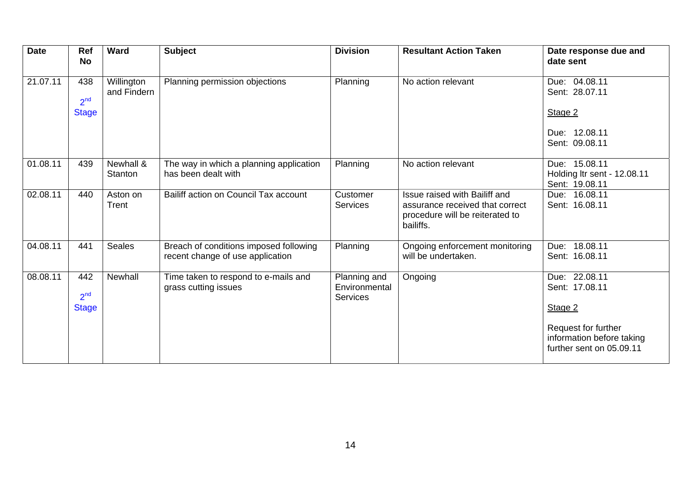| <b>Date</b> | <b>Ref</b><br><b>No</b>                | Ward                      | <b>Subject</b>                                                             | <b>Division</b>                                  | <b>Resultant Action Taken</b>                                                                                    | Date response due and<br>date sent                                                                                         |
|-------------|----------------------------------------|---------------------------|----------------------------------------------------------------------------|--------------------------------------------------|------------------------------------------------------------------------------------------------------------------|----------------------------------------------------------------------------------------------------------------------------|
| 21.07.11    | 438<br>2 <sup>nd</sup><br><b>Stage</b> | Willington<br>and Findern | Planning permission objections                                             | Planning                                         | No action relevant                                                                                               | Due: 04.08.11<br>Sent: 28.07.11<br>Stage 2                                                                                 |
|             |                                        |                           |                                                                            |                                                  |                                                                                                                  | Due: 12.08.11<br>Sent: 09.08.11                                                                                            |
| 01.08.11    | 439                                    | Newhall &<br>Stanton      | The way in which a planning application<br>has been dealt with             | Planning                                         | No action relevant                                                                                               | Due: 15.08.11<br>Holding Itr sent - 12.08.11<br>Sent: 19.08.11                                                             |
| 02.08.11    | 440                                    | Aston on<br>Trent         | Bailiff action on Council Tax account                                      | Customer<br><b>Services</b>                      | Issue raised with Bailiff and<br>assurance received that correct<br>procedure will be reiterated to<br>bailiffs. | Due: 16.08.11<br>Sent: 16.08.11                                                                                            |
| 04.08.11    | 441                                    | <b>Seales</b>             | Breach of conditions imposed following<br>recent change of use application | Planning                                         | Ongoing enforcement monitoring<br>will be undertaken.                                                            | Due: 18.08.11<br>Sent: 16.08.11                                                                                            |
| 08.08.11    | 442<br>2 <sup>nd</sup><br><b>Stage</b> | Newhall                   | Time taken to respond to e-mails and<br>grass cutting issues               | Planning and<br>Environmental<br><b>Services</b> | Ongoing                                                                                                          | Due: 22.08.11<br>Sent: 17.08.11<br>Stage 2<br>Request for further<br>information before taking<br>further sent on 05.09.11 |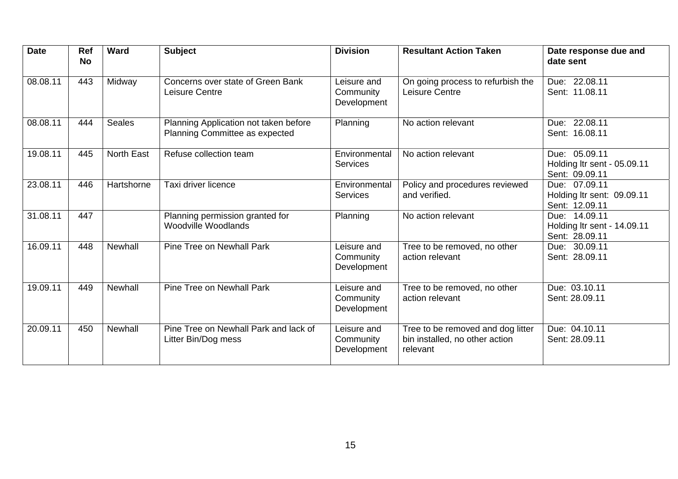| <b>Date</b>           | <b>Ref</b><br><b>No</b> | Ward              | <b>Subject</b>                                                          | <b>Division</b>                         | <b>Resultant Action Taken</b>                                                   | Date response due and<br>date sent                             |
|-----------------------|-------------------------|-------------------|-------------------------------------------------------------------------|-----------------------------------------|---------------------------------------------------------------------------------|----------------------------------------------------------------|
| 08.08.11              | 443                     | Midway            | Concerns over state of Green Bank<br>Leisure Centre                     | Leisure and<br>Community<br>Development | On going process to refurbish the<br>Leisure Centre                             | Due: 22.08.11<br>Sent: 11.08.11                                |
| 08.08.11              | 444                     | <b>Seales</b>     | Planning Application not taken before<br>Planning Committee as expected | Planning                                | No action relevant                                                              | Due: 22.08.11<br>Sent: 16.08.11                                |
| $19.08.\overline{11}$ | 445                     | <b>North East</b> | Refuse collection team                                                  | Environmental<br><b>Services</b>        | No action relevant                                                              | Due: 05.09.11<br>Holding Itr sent - 05.09.11<br>Sent: 09.09.11 |
| 23.08.11              | 446                     | Hartshorne        | Taxi driver licence                                                     | Environmental<br><b>Services</b>        | Policy and procedures reviewed<br>and verified.                                 | Due: 07.09.11<br>Holding Itr sent: 09.09.11<br>Sent: 12.09.11  |
| 31.08.11              | 447                     |                   | Planning permission granted for<br><b>Woodville Woodlands</b>           | Planning                                | No action relevant                                                              | Due: 14.09.11<br>Holding Itr sent - 14.09.11<br>Sent: 28.09.11 |
| 16.09.11              | 448                     | Newhall           | Pine Tree on Newhall Park                                               | Leisure and<br>Community<br>Development | Tree to be removed, no other<br>action relevant                                 | Due: 30.09.11<br>Sent: 28.09.11                                |
| 19.09.11              | 449                     | <b>Newhall</b>    | Pine Tree on Newhall Park                                               | Leisure and<br>Community<br>Development | Tree to be removed, no other<br>action relevant                                 | Due: 03.10.11<br>Sent: 28.09.11                                |
| 20.09.11              | 450                     | Newhall           | Pine Tree on Newhall Park and lack of<br>Litter Bin/Dog mess            | Leisure and<br>Community<br>Development | Tree to be removed and dog litter<br>bin installed, no other action<br>relevant | Due: 04.10.11<br>Sent: 28.09.11                                |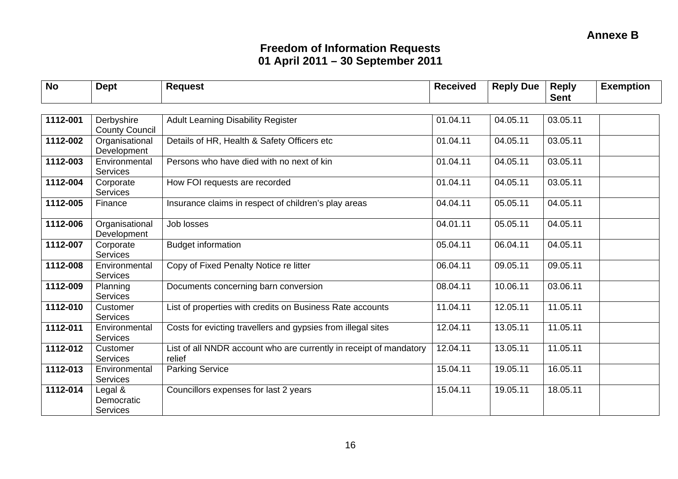| <b>No</b> | <b>Dept</b>                              | <b>Request</b>                                                               | <b>Received</b> | <b>Reply Due</b> | <b>Reply</b> | <b>Exemption</b> |
|-----------|------------------------------------------|------------------------------------------------------------------------------|-----------------|------------------|--------------|------------------|
|           |                                          |                                                                              |                 |                  | <b>Sent</b>  |                  |
| 1112-001  | Derbyshire<br><b>County Council</b>      | <b>Adult Learning Disability Register</b>                                    | 01.04.11        | 04.05.11         | 03.05.11     |                  |
| 1112-002  | Organisational<br>Development            | Details of HR, Health & Safety Officers etc                                  | 01.04.11        | 04.05.11         | 03.05.11     |                  |
| 1112-003  | Environmental<br><b>Services</b>         | Persons who have died with no next of kin                                    | 01.04.11        | 04.05.11         | 03.05.11     |                  |
| 1112-004  | Corporate<br><b>Services</b>             | How FOI requests are recorded                                                | 01.04.11        | 04.05.11         | 03.05.11     |                  |
| 1112-005  | Finance                                  | Insurance claims in respect of children's play areas                         | 04.04.11        | 05.05.11         | 04.05.11     |                  |
| 1112-006  | Organisational<br>Development            | Job losses                                                                   | 04.01.11        | 05.05.11         | 04.05.11     |                  |
| 1112-007  | Corporate<br><b>Services</b>             | <b>Budget information</b>                                                    | 05.04.11        | 06.04.11         | 04.05.11     |                  |
| 1112-008  | Environmental<br>Services                | Copy of Fixed Penalty Notice re litter                                       | 06.04.11        | 09.05.11         | 09.05.11     |                  |
| 1112-009  | Planning<br><b>Services</b>              | Documents concerning barn conversion                                         | 08.04.11        | 10.06.11         | 03.06.11     |                  |
| 1112-010  | Customer<br><b>Services</b>              | List of properties with credits on Business Rate accounts                    | 11.04.11        | 12.05.11         | 11.05.11     |                  |
| 1112-011  | Environmental<br><b>Services</b>         | Costs for evicting travellers and gypsies from illegal sites                 | 12.04.11        | 13.05.11         | 11.05.11     |                  |
| 1112-012  | Customer<br><b>Services</b>              | List of all NNDR account who are currently in receipt of mandatory<br>relief | 12.04.11        | 13.05.11         | 11.05.11     |                  |
| 1112-013  | Environmental<br><b>Services</b>         | <b>Parking Service</b>                                                       | 15.04.11        | 19.05.11         | 16.05.11     |                  |
| 1112-014  | Legal &<br>Democratic<br><b>Services</b> | Councillors expenses for last 2 years                                        | 15.04.11        | 19.05.11         | 18.05.11     |                  |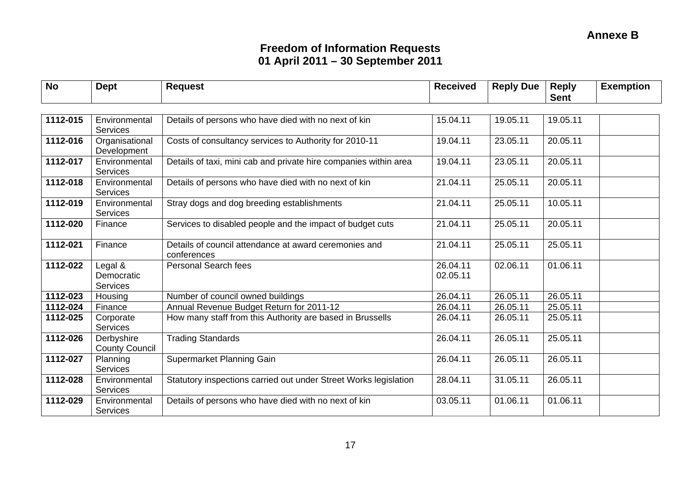| <b>No</b> | <b>Dept</b>                         | <b>Request</b>                                                       | <b>Received</b>      | <b>Reply Due</b> | <b>Reply</b><br><b>Sent</b> | <b>Exemption</b> |
|-----------|-------------------------------------|----------------------------------------------------------------------|----------------------|------------------|-----------------------------|------------------|
|           |                                     |                                                                      |                      |                  |                             |                  |
| 1112-015  | Environmental<br>Services           | Details of persons who have died with no next of kin                 | 15.04.11             | 19.05.11         | 19.05.11                    |                  |
| 1112-016  | Organisational<br>Development       | Costs of consultancy services to Authority for 2010-11               | 19.04.11             | 23.05.11         | 20.05.11                    |                  |
| 1112-017  | Environmental<br><b>Services</b>    | Details of taxi, mini cab and private hire companies within area     | 19.04.11             | 23.05.11         | 20.05.11                    |                  |
| 1112-018  | Environmental<br><b>Services</b>    | Details of persons who have died with no next of kin                 | 21.04.11             | 25.05.11         | 20.05.11                    |                  |
| 1112-019  | Environmental<br>Services           | Stray dogs and dog breeding establishments                           | 21.04.11             | 25.05.11         | 10.05.11                    |                  |
| 1112-020  | Finance                             | Services to disabled people and the impact of budget cuts            | 21.04.11             | 25.05.11         | 20.05.11                    |                  |
| 1112-021  | Finance                             | Details of council attendance at award ceremonies and<br>conferences | 21.04.11             | 25.05.11         | 25.05.11                    |                  |
| 1112-022  | Legal &<br>Democratic<br>Services   | <b>Personal Search fees</b>                                          | 26.04.11<br>02.05.11 | 02.06.11         | 01.06.11                    |                  |
| 1112-023  | Housing                             | Number of council owned buildings                                    | 26.04.11             | 26.05.11         | 26.05.11                    |                  |
| 1112-024  | Finance                             | Annual Revenue Budget Return for 2011-12                             | 26.04.11             | 26.05.11         | 25.05.11                    |                  |
| 1112-025  | Corporate<br><b>Services</b>        | How many staff from this Authority are based in Brussells            | 26.04.11             | 26.05.11         | 25.05.11                    |                  |
| 1112-026  | Derbyshire<br><b>County Council</b> | <b>Trading Standards</b>                                             | 26.04.11             | 26.05.11         | 25.05.11                    |                  |
| 1112-027  | Planning<br><b>Services</b>         | Supermarket Planning Gain                                            | 26.04.11             | 26.05.11         | 26.05.11                    |                  |
| 1112-028  | Environmental<br><b>Services</b>    | Statutory inspections carried out under Street Works legislation     | 28.04.11             | 31.05.11         | 26.05.11                    |                  |
| 1112-029  | Environmental<br><b>Services</b>    | Details of persons who have died with no next of kin                 | 03.05.11             | 01.06.11         | 01.06.11                    |                  |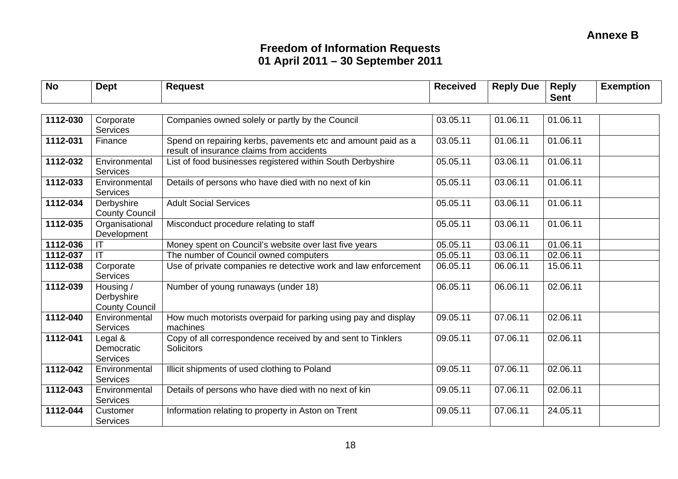| <b>No</b> | <b>Dept</b>                                      | <b>Request</b>                                                                                            | <b>Received</b> | <b>Reply Due</b> | <b>Reply</b><br><b>Sent</b> | <b>Exemption</b> |
|-----------|--------------------------------------------------|-----------------------------------------------------------------------------------------------------------|-----------------|------------------|-----------------------------|------------------|
|           |                                                  |                                                                                                           |                 |                  |                             |                  |
| 1112-030  | Corporate<br><b>Services</b>                     | Companies owned solely or partly by the Council                                                           | 03.05.11        | 01.06.11         | 01.06.11                    |                  |
| 1112-031  | Finance                                          | Spend on repairing kerbs, pavements etc and amount paid as a<br>result of insurance claims from accidents | 03.05.11        | 01.06.11         | 01.06.11                    |                  |
| 1112-032  | Environmental<br><b>Services</b>                 | List of food businesses registered within South Derbyshire                                                | 05.05.11        | 03.06.11         | 01.06.11                    |                  |
| 1112-033  | Environmental<br><b>Services</b>                 | Details of persons who have died with no next of kin                                                      | 05.05.11        | 03.06.11         | 01.06.11                    |                  |
| 1112-034  | Derbyshire<br><b>County Council</b>              | <b>Adult Social Services</b>                                                                              | 05.05.11        | 03.06.11         | 01.06.11                    |                  |
| 1112-035  | Organisational<br>Development                    | Misconduct procedure relating to staff                                                                    | 05.05.11        | 03.06.11         | 01.06.11                    |                  |
| 1112-036  | IT                                               | Money spent on Council's website over last five years                                                     | 05.05.11        | 03.06.11         | 01.06.11                    |                  |
| 1112-037  | IT                                               | The number of Council owned computers                                                                     | 05.05.11        | 03.06.11         | 02.06.11                    |                  |
| 1112-038  | Corporate<br>Services                            | Use of private companies re detective work and law enforcement                                            | 06.05.11        | 06.06.11         | 15.06.11                    |                  |
| 1112-039  | Housing /<br>Derbyshire<br><b>County Council</b> | Number of young runaways (under 18)                                                                       | 06.05.11        | 06.06.11         | 02.06.11                    |                  |
| 1112-040  | Environmental<br><b>Services</b>                 | How much motorists overpaid for parking using pay and display<br>machines                                 | 09.05.11        | 07.06.11         | 02.06.11                    |                  |
| 1112-041  | Legal &<br>Democratic<br><b>Services</b>         | Copy of all correspondence received by and sent to Tinklers<br><b>Solicitors</b>                          | 09.05.11        | 07.06.11         | 02.06.11                    |                  |
| 1112-042  | Environmental<br>Services                        | Illicit shipments of used clothing to Poland                                                              | 09.05.11        | 07.06.11         | 02.06.11                    |                  |
| 1112-043  | Environmental<br><b>Services</b>                 | Details of persons who have died with no next of kin                                                      | 09.05.11        | 07.06.11         | 02.06.11                    |                  |
| 1112-044  | Customer<br><b>Services</b>                      | Information relating to property in Aston on Trent                                                        | 09.05.11        | 07.06.11         | 24.05.11                    |                  |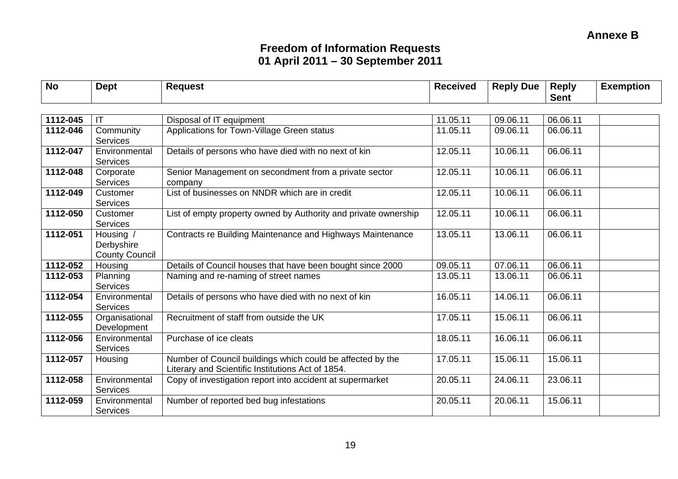| <b>No</b> | <b>Dept</b>                                      | <b>Request</b>                                                                                                  | <b>Received</b> | <b>Reply Due</b> | <b>Reply</b><br><b>Sent</b> | <b>Exemption</b> |
|-----------|--------------------------------------------------|-----------------------------------------------------------------------------------------------------------------|-----------------|------------------|-----------------------------|------------------|
|           |                                                  |                                                                                                                 |                 |                  |                             |                  |
| 1112-045  | $\mathsf{I}\mathsf{T}$                           | Disposal of IT equipment                                                                                        | 11.05.11        | 09.06.11         | 06.06.11                    |                  |
| 1112-046  | Community<br><b>Services</b>                     | Applications for Town-Village Green status                                                                      | 11.05.11        | 09.06.11         | 06.06.11                    |                  |
| 1112-047  | Environmental<br><b>Services</b>                 | Details of persons who have died with no next of kin                                                            | 12.05.11        | 10.06.11         | 06.06.11                    |                  |
| 1112-048  | Corporate<br><b>Services</b>                     | Senior Management on secondment from a private sector<br>company                                                | 12.05.11        | 10.06.11         | 06.06.11                    |                  |
| 1112-049  | Customer<br><b>Services</b>                      | List of businesses on NNDR which are in credit                                                                  | 12.05.11        | 10.06.11         | 06.06.11                    |                  |
| 1112-050  | Customer<br><b>Services</b>                      | List of empty property owned by Authority and private ownership                                                 | 12.05.11        | 10.06.11         | 06.06.11                    |                  |
| 1112-051  | Housing /<br>Derbyshire<br><b>County Council</b> | Contracts re Building Maintenance and Highways Maintenance                                                      | 13.05.11        | 13.06.11         | 06.06.11                    |                  |
| 1112-052  | Housing                                          | Details of Council houses that have been bought since 2000                                                      | 09.05.11        | 07.06.11         | 06.06.11                    |                  |
| 1112-053  | Planning<br><b>Services</b>                      | Naming and re-naming of street names                                                                            | 13.05.11        | 13.06.11         | 06.06.11                    |                  |
| 1112-054  | Environmental<br><b>Services</b>                 | Details of persons who have died with no next of kin                                                            | 16.05.11        | 14.06.11         | 06.06.11                    |                  |
| 1112-055  | Organisational<br>Development                    | Recruitment of staff from outside the UK                                                                        | 17.05.11        | 15.06.11         | 06.06.11                    |                  |
| 1112-056  | Environmental<br><b>Services</b>                 | Purchase of ice cleats                                                                                          | 18.05.11        | 16.06.11         | 06.06.11                    |                  |
| 1112-057  | Housing                                          | Number of Council buildings which could be affected by the<br>Literary and Scientific Institutions Act of 1854. | 17.05.11        | 15.06.11         | 15.06.11                    |                  |
| 1112-058  | Environmental<br><b>Services</b>                 | Copy of investigation report into accident at supermarket                                                       | 20.05.11        | 24.06.11         | 23.06.11                    |                  |
| 1112-059  | Environmental<br><b>Services</b>                 | Number of reported bed bug infestations                                                                         | 20.05.11        | 20.06.11         | 15.06.11                    |                  |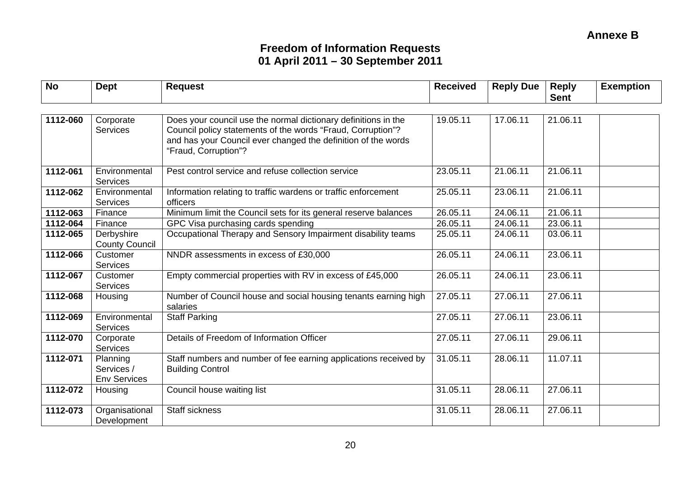| <b>No</b> | <b>Dept</b>                                   | <b>Request</b>                                                                                                                                                                                                         | <b>Received</b> | <b>Reply Due</b> | <b>Reply</b><br><b>Sent</b> | <b>Exemption</b> |
|-----------|-----------------------------------------------|------------------------------------------------------------------------------------------------------------------------------------------------------------------------------------------------------------------------|-----------------|------------------|-----------------------------|------------------|
|           |                                               |                                                                                                                                                                                                                        |                 |                  |                             |                  |
| 1112-060  | Corporate<br><b>Services</b>                  | Does your council use the normal dictionary definitions in the<br>Council policy statements of the words "Fraud, Corruption"?<br>and has your Council ever changed the definition of the words<br>"Fraud, Corruption"? | 19.05.11        | 17.06.11         | 21.06.11                    |                  |
| 1112-061  | Environmental<br>Services                     | Pest control service and refuse collection service                                                                                                                                                                     | 23.05.11        | 21.06.11         | 21.06.11                    |                  |
| 1112-062  | Environmental<br><b>Services</b>              | Information relating to traffic wardens or traffic enforcement<br>officers                                                                                                                                             | 25.05.11        | 23.06.11         | 21.06.11                    |                  |
| 1112-063  | Finance                                       | Minimum limit the Council sets for its general reserve balances                                                                                                                                                        | 26.05.11        | 24.06.11         | 21.06.11                    |                  |
| 1112-064  | Finance                                       | GPC Visa purchasing cards spending                                                                                                                                                                                     | 26.05.11        | 24.06.11         | 23.06.11                    |                  |
| 1112-065  | Derbyshire<br><b>County Council</b>           | Occupational Therapy and Sensory Impairment disability teams                                                                                                                                                           | 25.05.11        | 24.06.11         | 03.06.11                    |                  |
| 1112-066  | Customer<br><b>Services</b>                   | NNDR assessments in excess of £30,000                                                                                                                                                                                  | 26.05.11        | 24.06.11         | 23.06.11                    |                  |
| 1112-067  | Customer<br>Services                          | Empty commercial properties with RV in excess of £45,000                                                                                                                                                               | 26.05.11        | 24.06.11         | 23.06.11                    |                  |
| 1112-068  | Housing                                       | Number of Council house and social housing tenants earning high<br>salaries                                                                                                                                            | 27.05.11        | 27.06.11         | 27.06.11                    |                  |
| 1112-069  | Environmental<br><b>Services</b>              | <b>Staff Parking</b>                                                                                                                                                                                                   | 27.05.11        | 27.06.11         | 23.06.11                    |                  |
| 1112-070  | Corporate<br>Services                         | Details of Freedom of Information Officer                                                                                                                                                                              | 27.05.11        | 27.06.11         | 29.06.11                    |                  |
| 1112-071  | Planning<br>Services /<br><b>Env Services</b> | Staff numbers and number of fee earning applications received by<br><b>Building Control</b>                                                                                                                            | 31.05.11        | 28.06.11         | 11.07.11                    |                  |
| 1112-072  | Housing                                       | Council house waiting list                                                                                                                                                                                             | 31.05.11        | 28.06.11         | 27.06.11                    |                  |
| 1112-073  | Organisational<br>Development                 | <b>Staff sickness</b>                                                                                                                                                                                                  | 31.05.11        | 28.06.11         | 27.06.11                    |                  |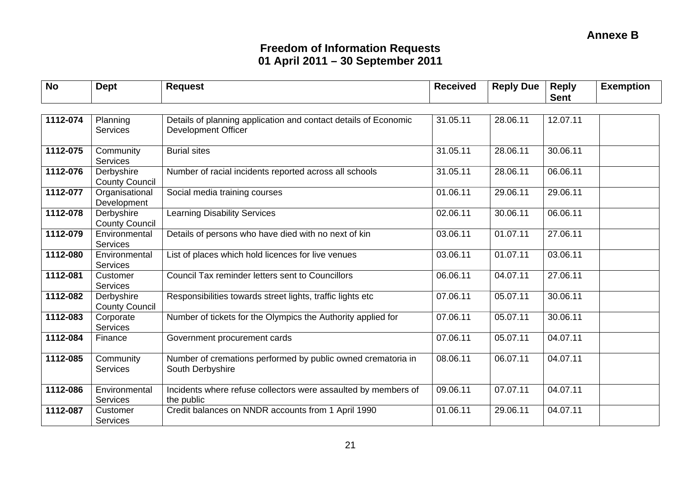| <b>No</b> | <b>Dept</b>                         | <b>Request</b>                                                                                | <b>Received</b> | <b>Reply Due</b> | <b>Reply</b><br><b>Sent</b> | <b>Exemption</b> |
|-----------|-------------------------------------|-----------------------------------------------------------------------------------------------|-----------------|------------------|-----------------------------|------------------|
| 1112-074  | Planning<br>Services                | Details of planning application and contact details of Economic<br><b>Development Officer</b> | 31.05.11        | 28.06.11         | 12.07.11                    |                  |
| 1112-075  | Community<br><b>Services</b>        | <b>Burial sites</b>                                                                           | 31.05.11        | 28.06.11         | 30.06.11                    |                  |
| 1112-076  | Derbyshire<br><b>County Council</b> | Number of racial incidents reported across all schools                                        | 31.05.11        | 28.06.11         | 06.06.11                    |                  |
| 1112-077  | Organisational<br>Development       | Social media training courses                                                                 | 01.06.11        | 29.06.11         | 29.06.11                    |                  |
| 1112-078  | Derbyshire<br><b>County Council</b> | <b>Learning Disability Services</b>                                                           | 02.06.11        | 30.06.11         | 06.06.11                    |                  |
| 1112-079  | Environmental<br><b>Services</b>    | Details of persons who have died with no next of kin                                          | 03.06.11        | 01.07.11         | 27.06.11                    |                  |
| 1112-080  | Environmental<br><b>Services</b>    | List of places which hold licences for live venues                                            | 03.06.11        | 01.07.11         | 03.06.11                    |                  |
| 1112-081  | Customer<br><b>Services</b>         | Council Tax reminder letters sent to Councillors                                              | 06.06.11        | 04.07.11         | 27.06.11                    |                  |
| 1112-082  | Derbyshire<br><b>County Council</b> | Responsibilities towards street lights, traffic lights etc                                    | 07.06.11        | 05.07.11         | 30.06.11                    |                  |
| 1112-083  | Corporate<br><b>Services</b>        | Number of tickets for the Olympics the Authority applied for                                  | 07.06.11        | 05.07.11         | 30.06.11                    |                  |
| 1112-084  | Finance                             | Government procurement cards                                                                  | 07.06.11        | 05.07.11         | 04.07.11                    |                  |
| 1112-085  | Community<br>Services               | Number of cremations performed by public owned crematoria in<br>South Derbyshire              | 08.06.11        | 06.07.11         | 04.07.11                    |                  |
| 1112-086  | Environmental<br><b>Services</b>    | Incidents where refuse collectors were assaulted by members of<br>the public                  | 09.06.11        | 07.07.11         | 04.07.11                    |                  |
| 1112-087  | Customer<br><b>Services</b>         | Credit balances on NNDR accounts from 1 April 1990                                            | 01.06.11        | 29.06.11         | 04.07.11                    |                  |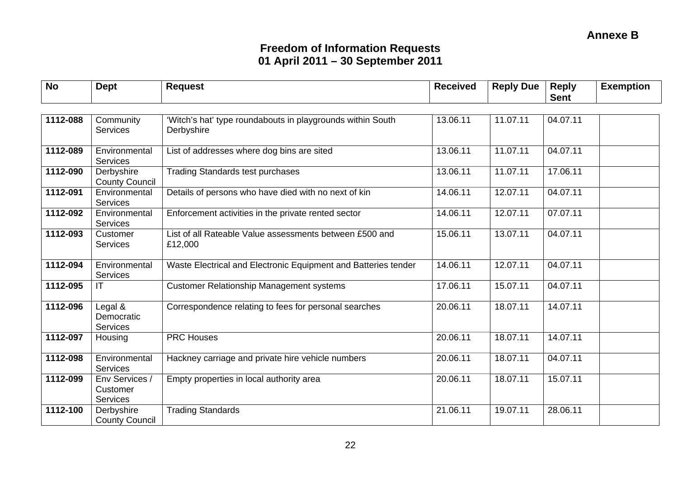| <b>No</b> | <b>Dept</b>                                            | <b>Request</b>                                                           | <b>Received</b> | <b>Reply Due</b> | <b>Reply</b><br><b>Sent</b> | <b>Exemption</b> |
|-----------|--------------------------------------------------------|--------------------------------------------------------------------------|-----------------|------------------|-----------------------------|------------------|
| 1112-088  | Community<br><b>Services</b>                           | 'Witch's hat' type roundabouts in playgrounds within South<br>Derbyshire | 13.06.11        | 11.07.11         | 04.07.11                    |                  |
| 1112-089  | Environmental                                          | List of addresses where dog bins are sited                               | 13.06.11        | 11.07.11         | 04.07.11                    |                  |
| 1112-090  | <b>Services</b><br>Derbyshire<br><b>County Council</b> | <b>Trading Standards test purchases</b>                                  | 13.06.11        | 11.07.11         | 17.06.11                    |                  |
| 1112-091  | Environmental<br><b>Services</b>                       | Details of persons who have died with no next of kin                     | 14.06.11        | 12.07.11         | 04.07.11                    |                  |
| 1112-092  | Environmental<br><b>Services</b>                       | Enforcement activities in the private rented sector                      | 14.06.11        | 12.07.11         | 07.07.11                    |                  |
| 1112-093  | Customer<br><b>Services</b>                            | List of all Rateable Value assessments between £500 and<br>£12,000       | 15.06.11        | 13.07.11         | 04.07.11                    |                  |
| 1112-094  | Environmental<br><b>Services</b>                       | Waste Electrical and Electronic Equipment and Batteries tender           | 14.06.11        | 12.07.11         | 04.07.11                    |                  |
| 1112-095  | IT                                                     | <b>Customer Relationship Management systems</b>                          | 17.06.11        | 15.07.11         | 04.07.11                    |                  |
| 1112-096  | Legal $\&$<br>Democratic<br>Services                   | Correspondence relating to fees for personal searches                    | 20.06.11        | 18.07.11         | 14.07.11                    |                  |
| 1112-097  | Housing                                                | <b>PRC Houses</b>                                                        | 20.06.11        | 18.07.11         | 14.07.11                    |                  |
| 1112-098  | Environmental<br><b>Services</b>                       | Hackney carriage and private hire vehicle numbers                        | 20.06.11        | 18.07.11         | 04.07.11                    |                  |
| 1112-099  | Env Services /<br>Customer<br><b>Services</b>          | Empty properties in local authority area                                 | 20.06.11        | 18.07.11         | 15.07.11                    |                  |
| 1112-100  | Derbyshire<br><b>County Council</b>                    | <b>Trading Standards</b>                                                 | 21.06.11        | 19.07.11         | 28.06.11                    |                  |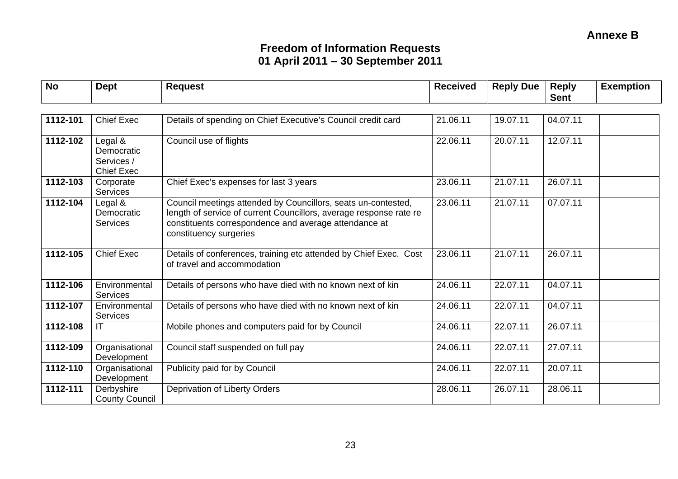#### **Annexe B Annexe B**

| <b>No</b> | <b>Dept</b>                                              | <b>Request</b>                                                                                                                                                                                                         | <b>Received</b> | <b>Reply Due</b> | <b>Reply</b><br><b>Sent</b> | <b>Exemption</b> |
|-----------|----------------------------------------------------------|------------------------------------------------------------------------------------------------------------------------------------------------------------------------------------------------------------------------|-----------------|------------------|-----------------------------|------------------|
|           |                                                          |                                                                                                                                                                                                                        |                 |                  |                             |                  |
| 1112-101  | <b>Chief Exec</b>                                        | Details of spending on Chief Executive's Council credit card                                                                                                                                                           | 21.06.11        | 19.07.11         | 04.07.11                    |                  |
| 1112-102  | Legal &<br>Democratic<br>Services /<br><b>Chief Exec</b> | Council use of flights                                                                                                                                                                                                 | 22.06.11        | 20.07.11         | 12.07.11                    |                  |
| 1112-103  | Corporate<br><b>Services</b>                             | Chief Exec's expenses for last 3 years                                                                                                                                                                                 | 23.06.11        | 21.07.11         | 26.07.11                    |                  |
| 1112-104  | Legal &<br>Democratic<br><b>Services</b>                 | Council meetings attended by Councillors, seats un-contested,<br>length of service of current Councillors, average response rate re<br>constituents correspondence and average attendance at<br>constituency surgeries | 23.06.11        | 21.07.11         | 07.07.11                    |                  |
| 1112-105  | <b>Chief Exec</b>                                        | Details of conferences, training etc attended by Chief Exec. Cost<br>of travel and accommodation                                                                                                                       | 23.06.11        | 21.07.11         | 26.07.11                    |                  |
| 1112-106  | Environmental<br>Services                                | Details of persons who have died with no known next of kin                                                                                                                                                             | 24.06.11        | 22.07.11         | 04.07.11                    |                  |
| 1112-107  | Environmental<br>Services                                | Details of persons who have died with no known next of kin                                                                                                                                                             | 24.06.11        | 22.07.11         | 04.07.11                    |                  |
| 1112-108  | IT                                                       | Mobile phones and computers paid for by Council                                                                                                                                                                        | 24.06.11        | 22.07.11         | 26.07.11                    |                  |
| 1112-109  | Organisational<br>Development                            | Council staff suspended on full pay                                                                                                                                                                                    | 24.06.11        | 22.07.11         | 27.07.11                    |                  |
| 1112-110  | Organisational<br>Development                            | Publicity paid for by Council                                                                                                                                                                                          | 24.06.11        | 22.07.11         | 20.07.11                    |                  |
| 1112-111  | Derbyshire<br><b>County Council</b>                      | Deprivation of Liberty Orders                                                                                                                                                                                          | 28.06.11        | 26.07.11         | 28.06.11                    |                  |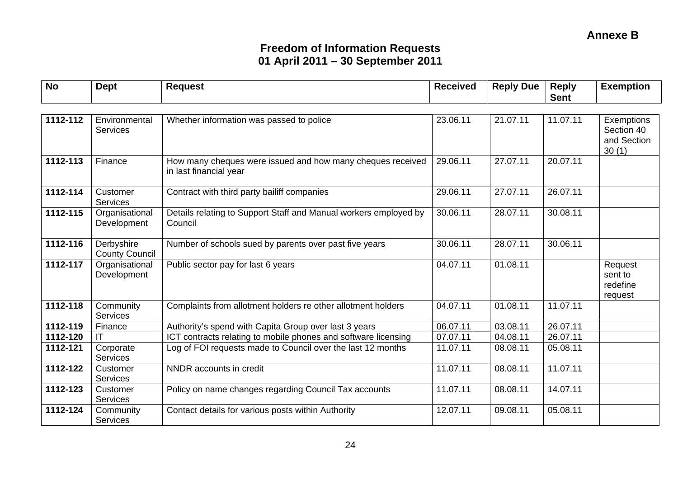| <b>No</b> | <b>Dept</b>                         | <b>Request</b>                                                                       | <b>Received</b> | <b>Reply Due</b> | <b>Reply</b><br><b>Sent</b> | <b>Exemption</b>                                        |
|-----------|-------------------------------------|--------------------------------------------------------------------------------------|-----------------|------------------|-----------------------------|---------------------------------------------------------|
|           |                                     |                                                                                      |                 |                  |                             |                                                         |
| 1112-112  | Environmental<br><b>Services</b>    | Whether information was passed to police                                             | 23.06.11        | 21.07.11         | 11.07.11                    | <b>Exemptions</b><br>Section 40<br>and Section<br>30(1) |
| 1112-113  | Finance                             | How many cheques were issued and how many cheques received<br>in last financial year | 29.06.11        | 27.07.11         | 20.07.11                    |                                                         |
| 1112-114  | Customer<br><b>Services</b>         | Contract with third party bailiff companies                                          | 29.06.11        | 27.07.11         | 26.07.11                    |                                                         |
| 1112-115  | Organisational<br>Development       | Details relating to Support Staff and Manual workers employed by<br>Council          | 30.06.11        | 28.07.11         | 30.08.11                    |                                                         |
| 1112-116  | Derbyshire<br><b>County Council</b> | Number of schools sued by parents over past five years                               | 30.06.11        | 28.07.11         | 30.06.11                    |                                                         |
| 1112-117  | Organisational<br>Development       | Public sector pay for last 6 years                                                   | 04.07.11        | 01.08.11         |                             | Request<br>sent to<br>redefine<br>request               |
| 1112-118  | Community<br><b>Services</b>        | Complaints from allotment holders re other allotment holders                         | 04.07.11        | 01.08.11         | 11.07.11                    |                                                         |
| 1112-119  | Finance                             | Authority's spend with Capita Group over last 3 years                                | 06.07.11        | 03.08.11         | 26.07.11                    |                                                         |
| 1112-120  | IT                                  | ICT contracts relating to mobile phones and software licensing                       | 07.07.11        | 04.08.11         | 26.07.11                    |                                                         |
| 1112-121  | Corporate<br><b>Services</b>        | Log of FOI requests made to Council over the last 12 months                          | 11.07.11        | 08.08.11         | 05.08.11                    |                                                         |
| 1112-122  | Customer<br><b>Services</b>         | NNDR accounts in credit                                                              | 11.07.11        | 08.08.11         | 11.07.11                    |                                                         |
| 1112-123  | Customer<br><b>Services</b>         | Policy on name changes regarding Council Tax accounts                                | 11.07.11        | 08.08.11         | 14.07.11                    |                                                         |
| 1112-124  | Community<br>Services               | Contact details for various posts within Authority                                   | 12.07.11        | 09.08.11         | 05.08.11                    |                                                         |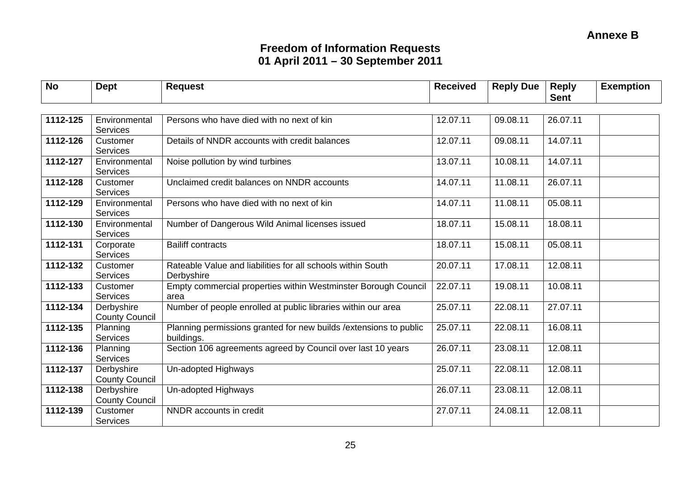| <b>No</b> | <b>Dept</b>                         | <b>Request</b>                                                                   | <b>Received</b> | <b>Reply Due</b> | <b>Reply</b><br><b>Sent</b> | <b>Exemption</b> |
|-----------|-------------------------------------|----------------------------------------------------------------------------------|-----------------|------------------|-----------------------------|------------------|
|           |                                     |                                                                                  |                 |                  |                             |                  |
| 1112-125  | Environmental<br><b>Services</b>    | Persons who have died with no next of kin                                        | 12.07.11        | 09.08.11         | 26.07.11                    |                  |
| 1112-126  | Customer<br><b>Services</b>         | Details of NNDR accounts with credit balances                                    | 12.07.11        | 09.08.11         | 14.07.11                    |                  |
| 1112-127  | Environmental<br><b>Services</b>    | Noise pollution by wind turbines                                                 | 13.07.11        | 10.08.11         | 14.07.11                    |                  |
| 1112-128  | Customer<br><b>Services</b>         | Unclaimed credit balances on NNDR accounts                                       | 14.07.11        | 11.08.11         | 26.07.11                    |                  |
| 1112-129  | Environmental<br><b>Services</b>    | Persons who have died with no next of kin                                        | 14.07.11        | 11.08.11         | 05.08.11                    |                  |
| 1112-130  | Environmental<br><b>Services</b>    | Number of Dangerous Wild Animal licenses issued                                  | 18.07.11        | 15.08.11         | 18.08.11                    |                  |
| 1112-131  | Corporate<br><b>Services</b>        | <b>Bailiff contracts</b>                                                         | 18.07.11        | 15.08.11         | 05.08.11                    |                  |
| 1112-132  | Customer<br><b>Services</b>         | Rateable Value and liabilities for all schools within South<br>Derbyshire        | 20.07.11        | 17.08.11         | 12.08.11                    |                  |
| 1112-133  | Customer<br>Services                | Empty commercial properties within Westminster Borough Council<br>area           | 22.07.11        | 19.08.11         | 10.08.11                    |                  |
| 1112-134  | Derbyshire<br><b>County Council</b> | Number of people enrolled at public libraries within our area                    | 25.07.11        | 22.08.11         | 27.07.11                    |                  |
| 1112-135  | Planning<br>Services                | Planning permissions granted for new builds / extensions to public<br>buildings. | 25.07.11        | 22.08.11         | 16.08.11                    |                  |
| 1112-136  | Planning<br><b>Services</b>         | Section 106 agreements agreed by Council over last 10 years                      | 26.07.11        | 23.08.11         | 12.08.11                    |                  |
| 1112-137  | Derbyshire<br><b>County Council</b> | Un-adopted Highways                                                              | 25.07.11        | 22.08.11         | 12.08.11                    |                  |
| 1112-138  | Derbyshire<br><b>County Council</b> | Un-adopted Highways                                                              | 26.07.11        | 23.08.11         | 12.08.11                    |                  |
| 1112-139  | Customer<br><b>Services</b>         | NNDR accounts in credit                                                          | 27.07.11        | 24.08.11         | 12.08.11                    |                  |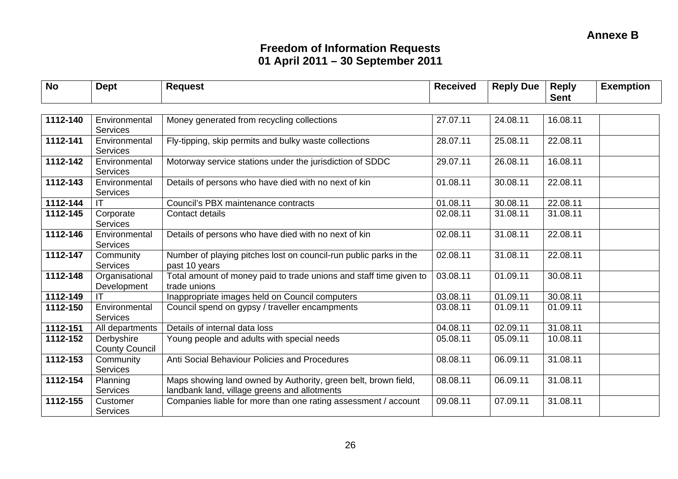| <b>No</b> | <b>Dept</b>                         | <b>Request</b>                                                                                                 | <b>Received</b> | <b>Reply Due</b> | <b>Reply</b> | <b>Exemption</b> |
|-----------|-------------------------------------|----------------------------------------------------------------------------------------------------------------|-----------------|------------------|--------------|------------------|
|           |                                     |                                                                                                                |                 |                  | <b>Sent</b>  |                  |
| 1112-140  | Environmental<br><b>Services</b>    | Money generated from recycling collections                                                                     | 27.07.11        | 24.08.11         | 16.08.11     |                  |
| 1112-141  | Environmental<br><b>Services</b>    | Fly-tipping, skip permits and bulky waste collections                                                          | 28.07.11        | 25.08.11         | 22.08.11     |                  |
| 1112-142  | Environmental<br><b>Services</b>    | Motorway service stations under the jurisdiction of SDDC                                                       | 29.07.11        | 26.08.11         | 16.08.11     |                  |
| 1112-143  | Environmental<br>Services           | Details of persons who have died with no next of kin                                                           | 01.08.11        | 30.08.11         | 22.08.11     |                  |
| 1112-144  |                                     | Council's PBX maintenance contracts                                                                            | 01.08.11        | 30.08.11         | 22.08.11     |                  |
| 1112-145  | Corporate<br><b>Services</b>        | Contact details                                                                                                | 02.08.11        | 31.08.11         | 31.08.11     |                  |
| 1112-146  | Environmental<br><b>Services</b>    | Details of persons who have died with no next of kin                                                           | 02.08.11        | 31.08.11         | 22.08.11     |                  |
| 1112-147  | Community<br><b>Services</b>        | Number of playing pitches lost on council-run public parks in the<br>past 10 years                             | 02.08.11        | 31.08.11         | 22.08.11     |                  |
| 1112-148  | Organisational<br>Development       | Total amount of money paid to trade unions and staff time given to<br>trade unions                             | 03.08.11        | 01.09.11         | 30.08.11     |                  |
| 1112-149  | IT                                  | Inappropriate images held on Council computers                                                                 | 03.08.11        | 01.09.11         | 30.08.11     |                  |
| 1112-150  | Environmental<br><b>Services</b>    | Council spend on gypsy / traveller encampments                                                                 | 03.08.11        | 01.09.11         | 01.09.11     |                  |
| 1112-151  | All departments                     | Details of internal data loss                                                                                  | 04.08.11        | 02.09.11         | 31.08.11     |                  |
| 1112-152  | Derbyshire<br><b>County Council</b> | Young people and adults with special needs                                                                     | 05.08.11        | 05.09.11         | 10.08.11     |                  |
| 1112-153  | Community<br><b>Services</b>        | Anti Social Behaviour Policies and Procedures                                                                  | 08.08.11        | 06.09.11         | 31.08.11     |                  |
| 1112-154  | Planning<br><b>Services</b>         | Maps showing land owned by Authority, green belt, brown field,<br>landbank land, village greens and allotments | 08.08.11        | 06.09.11         | 31.08.11     |                  |
| 1112-155  | Customer<br><b>Services</b>         | Companies liable for more than one rating assessment / account                                                 | 09.08.11        | 07.09.11         | 31.08.11     |                  |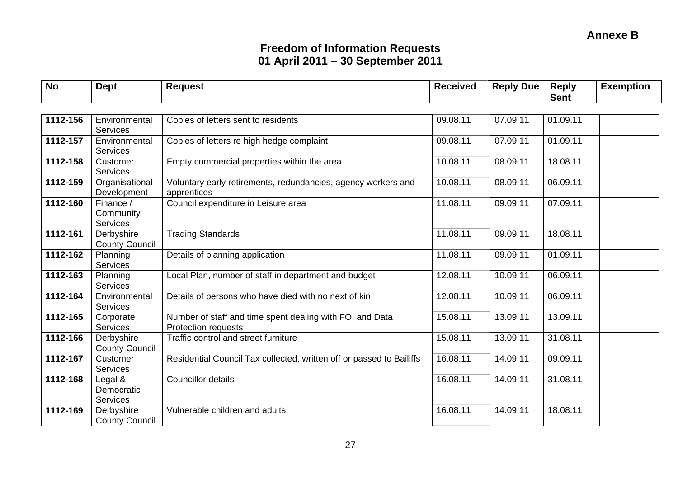| <b>No</b> | <b>Dept</b>                              | <b>Request</b>                                                                  | <b>Received</b> | <b>Reply Due</b> | <b>Reply</b><br><b>Sent</b> | <b>Exemption</b> |
|-----------|------------------------------------------|---------------------------------------------------------------------------------|-----------------|------------------|-----------------------------|------------------|
|           |                                          |                                                                                 |                 |                  |                             |                  |
| 1112-156  | Environmental<br><b>Services</b>         | Copies of letters sent to residents                                             | 09.08.11        | 07.09.11         | 01.09.11                    |                  |
| 1112-157  | Environmental<br>Services                | Copies of letters re high hedge complaint                                       | 09.08.11        | 07.09.11         | 01.09.11                    |                  |
| 1112-158  | Customer<br><b>Services</b>              | Empty commercial properties within the area                                     | 10.08.11        | 08.09.11         | 18.08.11                    |                  |
| 1112-159  | Organisational<br>Development            | Voluntary early retirements, redundancies, agency workers and<br>apprentices    | 10.08.11        | 08.09.11         | 06.09.11                    |                  |
| 1112-160  | Finance /<br>Community<br>Services       | Council expenditure in Leisure area                                             | 11.08.11        | 09.09.11         | 07.09.11                    |                  |
| 1112-161  | Derbyshire<br><b>County Council</b>      | <b>Trading Standards</b>                                                        | 11.08.11        | 09.09.11         | 18.08.11                    |                  |
| 1112-162  | Planning<br>Services                     | Details of planning application                                                 | 11.08.11        | 09.09.11         | 01.09.11                    |                  |
| 1112-163  | Planning<br>Services                     | Local Plan, number of staff in department and budget                            | 12.08.11        | 10.09.11         | 06.09.11                    |                  |
| 1112-164  | Environmental<br><b>Services</b>         | Details of persons who have died with no next of kin                            | 12.08.11        | 10.09.11         | 06.09.11                    |                  |
| 1112-165  | Corporate<br>Services                    | Number of staff and time spent dealing with FOI and Data<br>Protection requests | 15.08.11        | 13.09.11         | 13.09.11                    |                  |
| 1112-166  | Derbyshire<br><b>County Council</b>      | Traffic control and street furniture                                            | 15.08.11        | 13.09.11         | 31.08.11                    |                  |
| 1112-167  | Customer<br>Services                     | Residential Council Tax collected, written off or passed to Bailiffs            | 16.08.11        | 14.09.11         | 09.09.11                    |                  |
| 1112-168  | Legal &<br>Democratic<br><b>Services</b> | <b>Councillor details</b>                                                       | 16.08.11        | 14.09.11         | 31.08.11                    |                  |
| 1112-169  | Derbyshire<br><b>County Council</b>      | Vulnerable children and adults                                                  | 16.08.11        | 14.09.11         | 18.08.11                    |                  |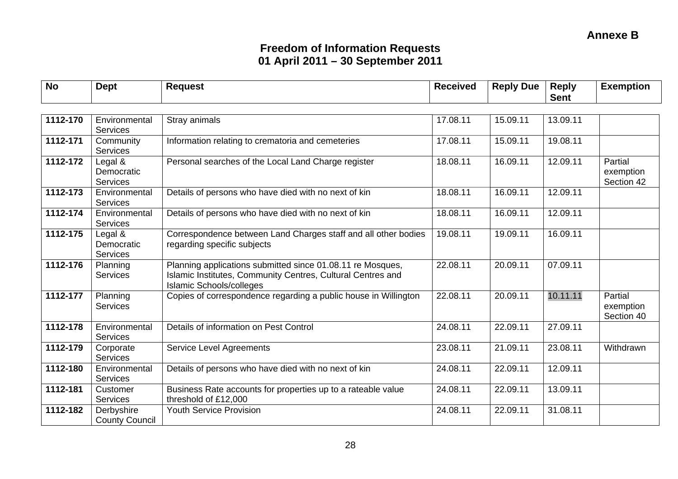| <b>No</b> | <b>Dept</b>                              | <b>Request</b>                                                                                                                                               | <b>Received</b> | <b>Reply Due</b> | <b>Reply</b><br><b>Sent</b> | <b>Exemption</b>                   |
|-----------|------------------------------------------|--------------------------------------------------------------------------------------------------------------------------------------------------------------|-----------------|------------------|-----------------------------|------------------------------------|
|           |                                          |                                                                                                                                                              |                 |                  |                             |                                    |
| 1112-170  | Environmental<br><b>Services</b>         | Stray animals                                                                                                                                                | 17.08.11        | 15.09.11         | 13.09.11                    |                                    |
| 1112-171  | Community<br><b>Services</b>             | Information relating to crematoria and cemeteries                                                                                                            | 17.08.11        | 15.09.11         | 19.08.11                    |                                    |
| 1112-172  | Legal &<br>Democratic<br><b>Services</b> | Personal searches of the Local Land Charge register                                                                                                          | 18.08.11        | 16.09.11         | 12.09.11                    | Partial<br>exemption<br>Section 42 |
| 1112-173  | Environmental<br><b>Services</b>         | Details of persons who have died with no next of kin                                                                                                         | 18.08.11        | 16.09.11         | 12.09.11                    |                                    |
| 1112-174  | Environmental<br><b>Services</b>         | Details of persons who have died with no next of kin                                                                                                         | 18.08.11        | 16.09.11         | 12.09.11                    |                                    |
| 1112-175  | Legal &<br>Democratic<br><b>Services</b> | Correspondence between Land Charges staff and all other bodies<br>regarding specific subjects                                                                | 19.08.11        | 19.09.11         | 16.09.11                    |                                    |
| 1112-176  | Planning<br>Services                     | Planning applications submitted since 01.08.11 re Mosques,<br>Islamic Institutes, Community Centres, Cultural Centres and<br><b>Islamic Schools/colleges</b> | 22.08.11        | 20.09.11         | 07.09.11                    |                                    |
| 1112-177  | Planning<br><b>Services</b>              | Copies of correspondence regarding a public house in Willington                                                                                              | 22.08.11        | 20.09.11         | 10.11.11                    | Partial<br>exemption<br>Section 40 |
| 1112-178  | Environmental<br><b>Services</b>         | Details of information on Pest Control                                                                                                                       | 24.08.11        | 22.09.11         | 27.09.11                    |                                    |
| 1112-179  | Corporate<br><b>Services</b>             | <b>Service Level Agreements</b>                                                                                                                              | 23.08.11        | 21.09.11         | 23.08.11                    | Withdrawn                          |
| 1112-180  | Environmental<br><b>Services</b>         | Details of persons who have died with no next of kin                                                                                                         | 24.08.11        | 22.09.11         | 12.09.11                    |                                    |
| 1112-181  | Customer<br><b>Services</b>              | Business Rate accounts for properties up to a rateable value<br>threshold of £12,000                                                                         | 24.08.11        | 22.09.11         | 13.09.11                    |                                    |
| 1112-182  | Derbyshire<br><b>County Council</b>      | <b>Youth Service Provision</b>                                                                                                                               | 24.08.11        | 22.09.11         | 31.08.11                    |                                    |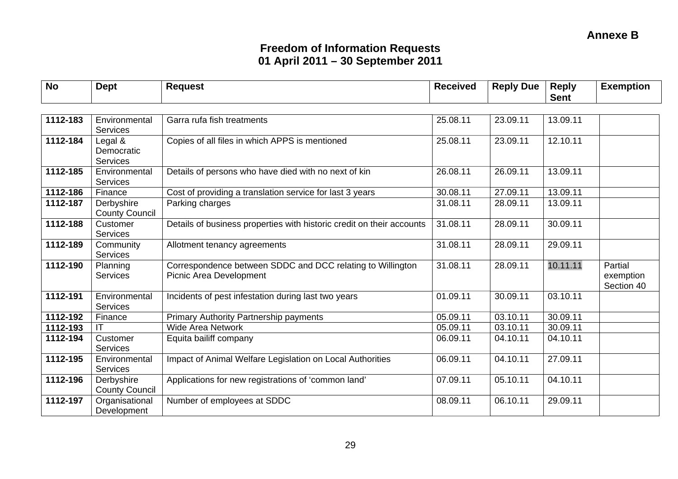| <b>No</b> | <b>Dept</b>                         | <b>Request</b>                                                                        | <b>Received</b> | <b>Reply Due</b> | <b>Reply</b><br><b>Sent</b> | <b>Exemption</b>                   |
|-----------|-------------------------------------|---------------------------------------------------------------------------------------|-----------------|------------------|-----------------------------|------------------------------------|
|           |                                     |                                                                                       |                 |                  |                             |                                    |
| 1112-183  | Environmental                       | Garra rufa fish treatments                                                            | 25.08.11        | 23.09.11         | 13.09.11                    |                                    |
|           | <b>Services</b>                     |                                                                                       |                 |                  |                             |                                    |
| 1112-184  | Legal &<br>Democratic<br>Services   | Copies of all files in which APPS is mentioned                                        | 25.08.11        | 23.09.11         | 12.10.11                    |                                    |
| 1112-185  | Environmental<br><b>Services</b>    | Details of persons who have died with no next of kin                                  | 26.08.11        | 26.09.11         | 13.09.11                    |                                    |
| 1112-186  | Finance                             | Cost of providing a translation service for last 3 years                              | 30.08.11        | 27.09.11         | 13.09.11                    |                                    |
| 1112-187  | Derbyshire<br><b>County Council</b> | Parking charges                                                                       | 31.08.11        | 28.09.11         | 13.09.11                    |                                    |
| 1112-188  | Customer<br><b>Services</b>         | Details of business properties with historic credit on their accounts                 | 31.08.11        | 28.09.11         | 30.09.11                    |                                    |
| 1112-189  | Community<br>Services               | Allotment tenancy agreements                                                          | 31.08.11        | 28.09.11         | 29.09.11                    |                                    |
| 1112-190  | Planning<br><b>Services</b>         | Correspondence between SDDC and DCC relating to Willington<br>Picnic Area Development | 31.08.11        | 28.09.11         | 10.11.11                    | Partial<br>exemption<br>Section 40 |
| 1112-191  | Environmental<br><b>Services</b>    | Incidents of pest infestation during last two years                                   | 01.09.11        | 30.09.11         | 03.10.11                    |                                    |
| 1112-192  | Finance                             | Primary Authority Partnership payments                                                | 05.09.11        | 03.10.11         | 30.09.11                    |                                    |
| 1112-193  |                                     | <b>Wide Area Network</b>                                                              | 05.09.11        | 03.10.11         | 30.09.11                    |                                    |
| 1112-194  | Customer<br><b>Services</b>         | Equita bailiff company                                                                | 06.09.11        | 04.10.11         | 04.10.11                    |                                    |
| 1112-195  | Environmental<br><b>Services</b>    | Impact of Animal Welfare Legislation on Local Authorities                             | 06.09.11        | 04.10.11         | 27.09.11                    |                                    |
| 1112-196  | Derbyshire<br><b>County Council</b> | Applications for new registrations of 'common land'                                   | 07.09.11        | 05.10.11         | 04.10.11                    |                                    |
| 1112-197  | Organisational<br>Development       | Number of employees at SDDC                                                           | 08.09.11        | 06.10.11         | 29.09.11                    |                                    |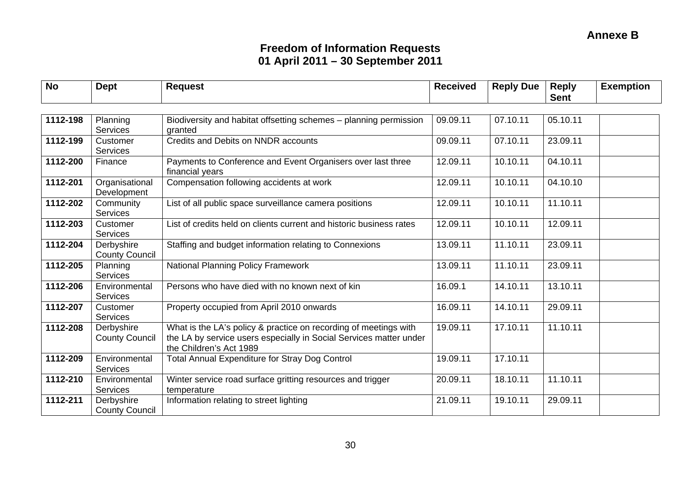| <b>No</b> | <b>Dept</b>                         | <b>Request</b>                                                                                                                                                    | <b>Received</b> | <b>Reply Due</b> | <b>Reply</b><br><b>Sent</b> | <b>Exemption</b> |
|-----------|-------------------------------------|-------------------------------------------------------------------------------------------------------------------------------------------------------------------|-----------------|------------------|-----------------------------|------------------|
|           |                                     |                                                                                                                                                                   |                 |                  |                             |                  |
| 1112-198  | Planning<br>Services                | Biodiversity and habitat offsetting schemes - planning permission<br>granted                                                                                      | 09.09.11        | 07.10.11         | 05.10.11                    |                  |
| 1112-199  | Customer<br>Services                | Credits and Debits on NNDR accounts                                                                                                                               | 09.09.11        | 07.10.11         | 23.09.11                    |                  |
| 1112-200  | Finance                             | Payments to Conference and Event Organisers over last three<br>financial years                                                                                    | 12.09.11        | 10.10.11         | 04.10.11                    |                  |
| 1112-201  | Organisational<br>Development       | Compensation following accidents at work                                                                                                                          | 12.09.11        | 10.10.11         | 04.10.10                    |                  |
| 1112-202  | Community<br>Services               | List of all public space surveillance camera positions                                                                                                            | 12.09.11        | 10.10.11         | 11.10.11                    |                  |
| 1112-203  | Customer<br>Services                | List of credits held on clients current and historic business rates                                                                                               | 12.09.11        | 10.10.11         | 12.09.11                    |                  |
| 1112-204  | Derbyshire<br><b>County Council</b> | Staffing and budget information relating to Connexions                                                                                                            | 13.09.11        | 11.10.11         | 23.09.11                    |                  |
| 1112-205  | Planning<br><b>Services</b>         | <b>National Planning Policy Framework</b>                                                                                                                         | 13.09.11        | 11.10.11         | 23.09.11                    |                  |
| 1112-206  | Environmental<br>Services           | Persons who have died with no known next of kin                                                                                                                   | 16.09.1         | 14.10.11         | 13.10.11                    |                  |
| 1112-207  | Customer<br>Services                | Property occupied from April 2010 onwards                                                                                                                         | 16.09.11        | 14.10.11         | 29.09.11                    |                  |
| 1112-208  | Derbyshire<br><b>County Council</b> | What is the LA's policy & practice on recording of meetings with<br>the LA by service users especially in Social Services matter under<br>the Children's Act 1989 | 19.09.11        | 17.10.11         | 11.10.11                    |                  |
| 1112-209  | Environmental<br><b>Services</b>    | <b>Total Annual Expenditure for Stray Dog Control</b>                                                                                                             | 19.09.11        | 17.10.11         |                             |                  |
| 1112-210  | Environmental<br><b>Services</b>    | Winter service road surface gritting resources and trigger<br>temperature                                                                                         | 20.09.11        | 18.10.11         | 11.10.11                    |                  |
| 1112-211  | Derbyshire<br><b>County Council</b> | Information relating to street lighting                                                                                                                           | 21.09.11        | 19.10.11         | 29.09.11                    |                  |